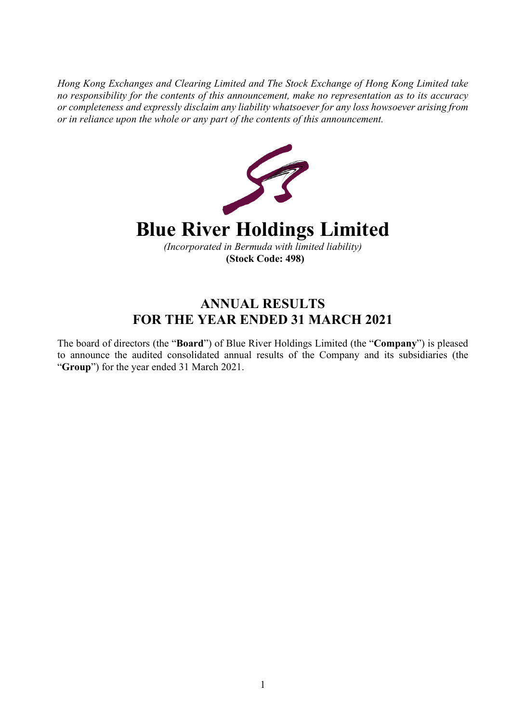*Hong Kong Exchanges and Clearing Limited and The Stock Exchange of Hong Kong Limited take no responsibility for the contents of this announcement, make no representation as to its accuracy or completeness and expressly disclaim any liability whatsoever for any loss howsoever arising from or in reliance upon the whole or any part of the contents of this announcement.*



# **ANNUAL RESULTS FOR THE YEAR ENDED 31 MARCH 2021**

The board of directors (the "**Board**") of Blue River Holdings Limited (the "**Company**") is pleased to announce the audited consolidated annual results of the Company and its subsidiaries (the "**Group**") for the year ended 31 March 2021.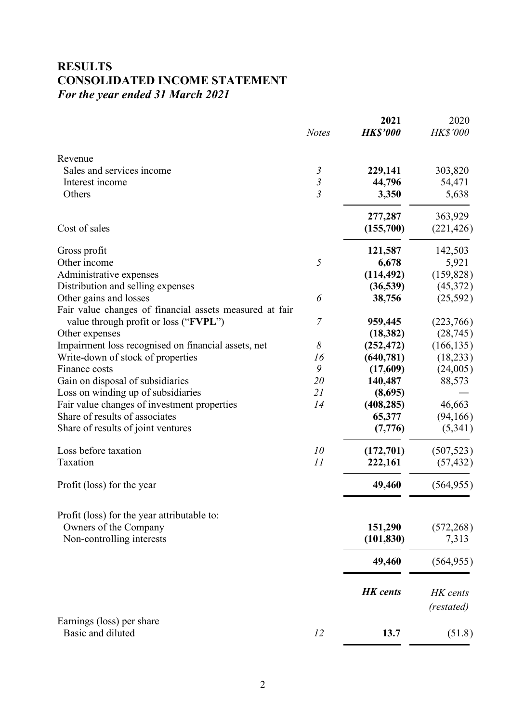## **RESULTS CONSOLIDATED INCOME STATEMENT** *For the year ended 31 March 2021*

|                                                                                                  | <b>Notes</b>   | 2021<br><b>HK\$'000</b> | 2020<br><b>HK\$'000</b> |
|--------------------------------------------------------------------------------------------------|----------------|-------------------------|-------------------------|
| Revenue                                                                                          |                |                         |                         |
| Sales and services income                                                                        | $\mathfrak{Z}$ | 229,141                 | 303,820                 |
| Interest income                                                                                  | $\mathfrak{Z}$ | 44,796                  | 54,471                  |
| Others                                                                                           | $\overline{3}$ | 3,350                   | 5,638                   |
|                                                                                                  |                | 277,287                 | 363,929                 |
| Cost of sales                                                                                    |                | (155,700)               | (221, 426)              |
| Gross profit                                                                                     |                | 121,587                 | 142,503                 |
| Other income                                                                                     | 5              | 6,678                   | 5,921                   |
| Administrative expenses                                                                          |                | (114, 492)              | (159, 828)              |
| Distribution and selling expenses                                                                |                | (36, 539)               | (45,372)                |
| Other gains and losses                                                                           | 6              | 38,756                  | (25,592)                |
| Fair value changes of financial assets measured at fair<br>value through profit or loss ("FVPL") | $\overline{7}$ | 959,445                 | (223,766)               |
| Other expenses                                                                                   |                | (18, 382)               | (28, 745)               |
| Impairment loss recognised on financial assets, net                                              | 8              | (252, 472)              | (166, 135)              |
| Write-down of stock of properties                                                                | 16             | (640, 781)              | (18, 233)               |
| Finance costs                                                                                    | 9              | (17,609)                | (24,005)                |
| Gain on disposal of subsidiaries                                                                 | 20             | 140,487                 | 88,573                  |
| Loss on winding up of subsidiaries                                                               | 21             | (8,695)                 |                         |
| Fair value changes of investment properties                                                      | 14             | (408, 285)              | 46,663                  |
| Share of results of associates                                                                   |                | 65,377                  | (94, 166)               |
| Share of results of joint ventures                                                               |                | (7,776)                 | (5,341)                 |
| Loss before taxation                                                                             | 10             | (172,701)               | (507, 523)              |
| Taxation                                                                                         | 11             | 222,161                 | (57, 432)               |
| Profit (loss) for the year                                                                       |                | 49,460                  | (564, 955)              |
|                                                                                                  |                |                         |                         |
| Profit (loss) for the year attributable to:<br>Owners of the Company                             |                | 151,290                 |                         |
| Non-controlling interests                                                                        |                | (101, 830)              | (572, 268)<br>7,313     |
|                                                                                                  |                |                         |                         |
|                                                                                                  |                | 49,460                  | (564, 955)              |
|                                                                                                  |                | <b>HK</b> cents         | HK cents<br>(restated)  |
| Earnings (loss) per share                                                                        |                |                         |                         |
| Basic and diluted                                                                                | 12             | 13.7                    | (51.8)                  |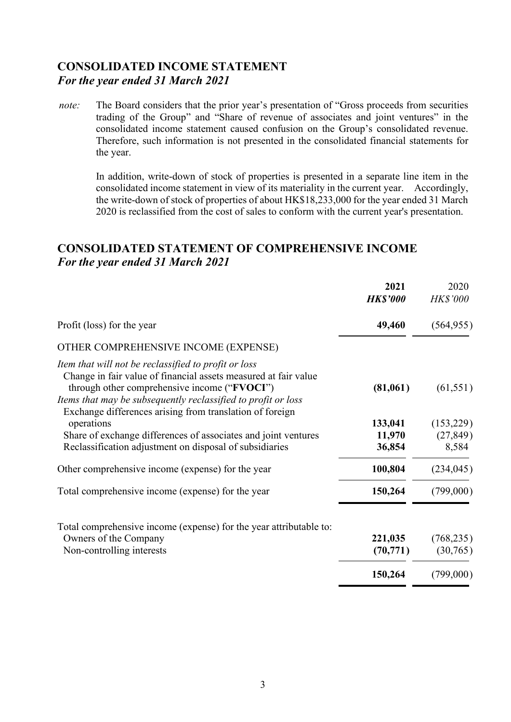## **CONSOLIDATED INCOME STATEMENT** *For the year ended 31 March 2021*

*note:* The Board considers that the prior year's presentation of "Gross proceeds from securities trading of the Group" and "Share of revenue of associates and joint ventures" in the consolidated income statement caused confusion on the Group's consolidated revenue. Therefore, such information is not presented in the consolidated financial statements for the year.

In addition, write-down of stock of properties is presented in a separate line item in the consolidated income statement in view of its materiality in the current year. Accordingly, the write-down of stock of properties of about HK\$18,233,000 for the year ended 31 March 2020 is reclassified from the cost of sales to conform with the current year's presentation.

## **CONSOLIDATED STATEMENT OF COMPREHENSIVE INCOME** *For the year ended 31 March 2021*

|                                                                                                                                                                                                                                                                                                      | 2021<br><b>HK\$'000</b> | 2020<br><b>HK\$'000</b> |
|------------------------------------------------------------------------------------------------------------------------------------------------------------------------------------------------------------------------------------------------------------------------------------------------------|-------------------------|-------------------------|
| Profit (loss) for the year                                                                                                                                                                                                                                                                           | 49,460                  | (564, 955)              |
| OTHER COMPREHENSIVE INCOME (EXPENSE)                                                                                                                                                                                                                                                                 |                         |                         |
| Item that will not be reclassified to profit or loss<br>Change in fair value of financial assets measured at fair value<br>through other comprehensive income ("FVOCI")<br>Items that may be subsequently reclassified to profit or loss<br>Exchange differences arising from translation of foreign | (81,061)                | (61, 551)               |
| operations<br>Share of exchange differences of associates and joint ventures                                                                                                                                                                                                                         | 133,041<br>11,970       | (153,229)<br>(27, 849)  |
| Reclassification adjustment on disposal of subsidiaries                                                                                                                                                                                                                                              | 36,854                  | 8,584                   |
| Other comprehensive income (expense) for the year                                                                                                                                                                                                                                                    | 100,804                 | (234, 045)              |
| Total comprehensive income (expense) for the year                                                                                                                                                                                                                                                    | 150,264                 | (799,000)               |
| Total comprehensive income (expense) for the year attributable to:                                                                                                                                                                                                                                   |                         |                         |
| Owners of the Company                                                                                                                                                                                                                                                                                | 221,035                 | (768, 235)              |
| Non-controlling interests                                                                                                                                                                                                                                                                            | (70, 771)               | (30,765)                |
|                                                                                                                                                                                                                                                                                                      | 150,264                 | (799,000)               |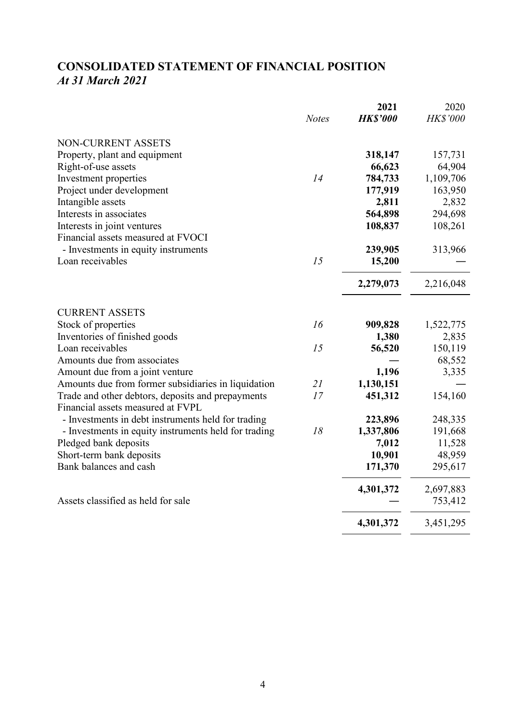# **CONSOLIDATED STATEMENT OF FINANCIAL POSITION** *At 31 March 2021*

|                                                      |              | 2021            | 2020            |
|------------------------------------------------------|--------------|-----------------|-----------------|
|                                                      | <b>Notes</b> | <b>HK\$'000</b> | <b>HK\$'000</b> |
| NON-CURRENT ASSETS                                   |              |                 |                 |
| Property, plant and equipment                        |              | 318,147         | 157,731         |
| Right-of-use assets                                  |              | 66,623          | 64,904          |
| Investment properties                                | 14           | 784,733         | 1,109,706       |
| Project under development                            |              | 177,919         | 163,950         |
| Intangible assets                                    |              | 2,811           | 2,832           |
| Interests in associates                              |              | 564,898         | 294,698         |
| Interests in joint ventures                          |              | 108,837         | 108,261         |
| Financial assets measured at FVOCI                   |              |                 |                 |
| - Investments in equity instruments                  |              | 239,905         | 313,966         |
| Loan receivables                                     | 15           | 15,200          |                 |
|                                                      |              | 2,279,073       | 2,216,048       |
| <b>CURRENT ASSETS</b>                                |              |                 |                 |
| Stock of properties                                  | 16           | 909,828         | 1,522,775       |
| Inventories of finished goods                        |              | 1,380           | 2,835           |
| Loan receivables                                     | 15           | 56,520          | 150,119         |
| Amounts due from associates                          |              |                 | 68,552          |
| Amount due from a joint venture                      |              | 1,196           | 3,335           |
| Amounts due from former subsidiaries in liquidation  | 21           | 1,130,151       |                 |
| Trade and other debtors, deposits and prepayments    | 17           | 451,312         | 154,160         |
| Financial assets measured at FVPL                    |              |                 |                 |
| - Investments in debt instruments held for trading   |              | 223,896         | 248,335         |
| - Investments in equity instruments held for trading | 18           | 1,337,806       | 191,668         |
| Pledged bank deposits                                |              | 7,012           | 11,528          |
| Short-term bank deposits                             |              | 10,901          | 48,959          |
| Bank balances and cash                               |              | 171,370         | 295,617         |
|                                                      |              | 4,301,372       | 2,697,883       |
| Assets classified as held for sale                   |              |                 | 753,412         |
|                                                      |              | 4,301,372       | 3,451,295       |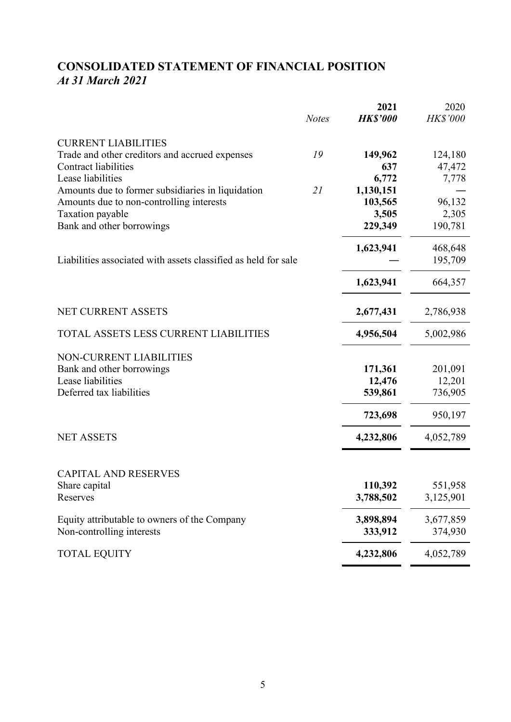# **CONSOLIDATED STATEMENT OF FINANCIAL POSITION** *At 31 March 2021*

|                                                                |              | 2021            | 2020      |
|----------------------------------------------------------------|--------------|-----------------|-----------|
|                                                                | <b>Notes</b> | <b>HK\$'000</b> | HK\$'000  |
| <b>CURRENT LIABILITIES</b>                                     |              |                 |           |
| Trade and other creditors and accrued expenses                 | 19           | 149,962         | 124,180   |
| <b>Contract liabilities</b>                                    |              | 637             | 47,472    |
| Lease liabilities                                              |              | 6,772           | 7,778     |
| Amounts due to former subsidiaries in liquidation              | 21           | 1,130,151       |           |
| Amounts due to non-controlling interests                       |              | 103,565         | 96,132    |
| Taxation payable                                               |              | 3,505           | 2,305     |
| Bank and other borrowings                                      |              | 229,349         | 190,781   |
|                                                                |              | 1,623,941       | 468,648   |
| Liabilities associated with assets classified as held for sale |              |                 | 195,709   |
|                                                                |              | 1,623,941       | 664,357   |
|                                                                |              |                 |           |
| <b>NET CURRENT ASSETS</b>                                      |              | 2,677,431       | 2,786,938 |
| TOTAL ASSETS LESS CURRENT LIABILITIES                          |              | 4,956,504       | 5,002,986 |
| <b>NON-CURRENT LIABILITIES</b>                                 |              |                 |           |
| Bank and other borrowings                                      |              | 171,361         | 201,091   |
| Lease liabilities                                              |              | 12,476          | 12,201    |
| Deferred tax liabilities                                       |              | 539,861         | 736,905   |
|                                                                |              | 723,698         | 950,197   |
| <b>NET ASSETS</b>                                              |              | 4,232,806       | 4,052,789 |
|                                                                |              |                 |           |
| <b>CAPITAL AND RESERVES</b>                                    |              |                 |           |
| Share capital                                                  |              | 110,392         | 551,958   |
| Reserves                                                       |              | 3,788,502       | 3,125,901 |
| Equity attributable to owners of the Company                   |              | 3,898,894       | 3,677,859 |
| Non-controlling interests                                      |              | 333,912         | 374,930   |
| <b>TOTAL EQUITY</b>                                            |              | 4,232,806       | 4,052,789 |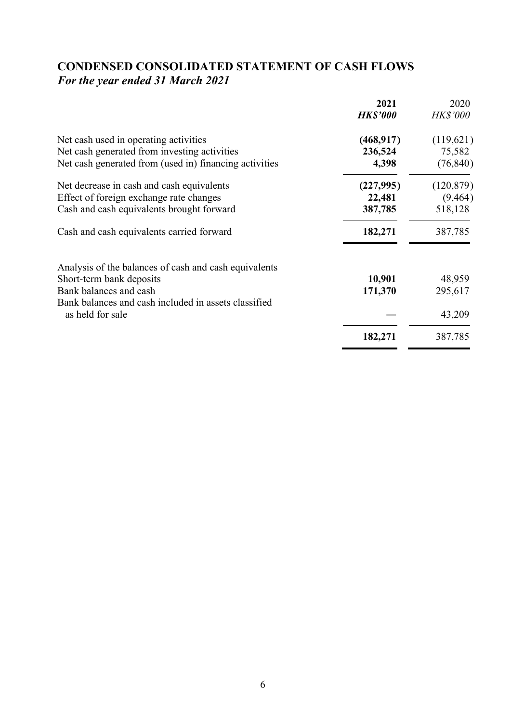# **CONDENSED CONSOLIDATED STATEMENT OF CASH FLOWS** *For the year ended 31 March 2021*

| <b>HK\$'000</b> |                   |
|-----------------|-------------------|
|                 | <b>HK\$'000</b>   |
| (468, 917)      | (119,621)         |
| 236,524         | 75,582            |
| 4,398           | (76, 840)         |
| (227, 995)      | (120, 879)        |
| 22,481          | (9, 464)          |
| 387,785         | 518,128           |
| 182,271         | 387,785           |
|                 |                   |
|                 | 48,959            |
|                 | 295,617           |
|                 |                   |
|                 | 43,209            |
| 182,271         | 387,785           |
|                 | 10,901<br>171,370 |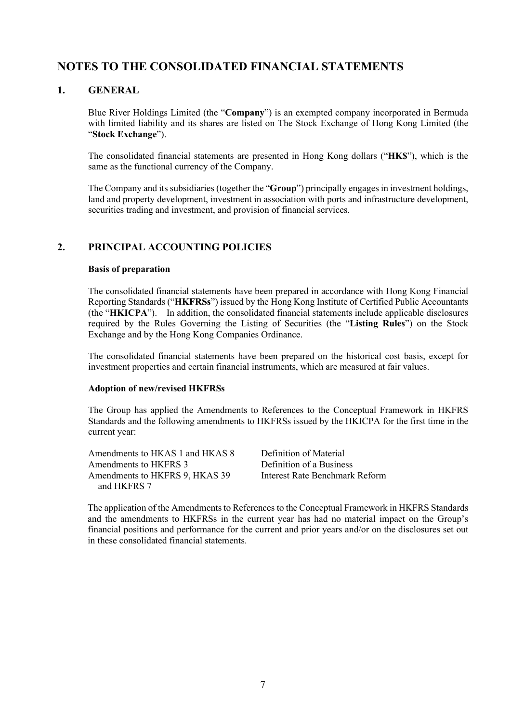## **NOTES TO THE CONSOLIDATED FINANCIAL STATEMENTS**

### **1. GENERAL**

Blue River Holdings Limited (the "**Company**") is an exempted company incorporated in Bermuda with limited liability and its shares are listed on The Stock Exchange of Hong Kong Limited (the "**Stock Exchange**").

The consolidated financial statements are presented in Hong Kong dollars ("**HK\$**"), which is the same as the functional currency of the Company.

The Company and its subsidiaries (together the "**Group**") principally engages in investment holdings, land and property development, investment in association with ports and infrastructure development, securities trading and investment, and provision of financial services.

### **2. PRINCIPAL ACCOUNTING POLICIES**

#### **Basis of preparation**

The consolidated financial statements have been prepared in accordance with Hong Kong Financial Reporting Standards ("**HKFRSs**") issued by the Hong Kong Institute of Certified Public Accountants (the "**HKICPA**"). In addition, the consolidated financial statements include applicable disclosures required by the Rules Governing the Listing of Securities (the "**Listing Rules**") on the Stock Exchange and by the Hong Kong Companies Ordinance.

The consolidated financial statements have been prepared on the historical cost basis, except for investment properties and certain financial instruments, which are measured at fair values.

#### **Adoption of new/revised HKFRSs**

The Group has applied the Amendments to References to the Conceptual Framework in HKFRS Standards and the following amendments to HKFRSs issued by the HKICPA for the first time in the current year:

Amendments to HKAS 1 and HKAS 8 Definition of Material<br>Amendments to HKFRS 3 Definition of a Business Amendments to HKFRS 3<br>Amendments to HKFRS 9, HKAS 39<br>Interest Rate Benchmark Reform Amendments to HKFRS 9, HKAS 39 and HKFRS 7

The application of the Amendments to References to the Conceptual Framework in HKFRS Standards and the amendments to HKFRSs in the current year has had no material impact on the Group's financial positions and performance for the current and prior years and/or on the disclosures set out in these consolidated financial statements.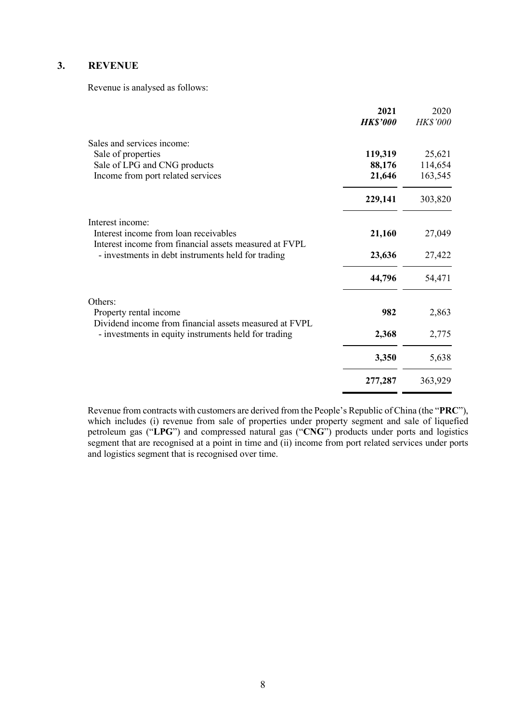### **3. REVENUE**

Revenue is analysed as follows:

|                                                                                                                | 2021<br><b>HK\$'000</b> | 2020<br><b>HK\$'000</b> |
|----------------------------------------------------------------------------------------------------------------|-------------------------|-------------------------|
| Sales and services income:                                                                                     |                         |                         |
| Sale of properties                                                                                             | 119,319                 | 25,621                  |
| Sale of LPG and CNG products                                                                                   | 88,176                  | 114,654                 |
| Income from port related services                                                                              | 21,646                  | 163,545                 |
|                                                                                                                | 229,141                 | 303,820                 |
| Interest income:                                                                                               |                         |                         |
| Interest income from loan receivables                                                                          | 21,160                  | 27,049                  |
| Interest income from financial assets measured at FVPL<br>- investments in debt instruments held for trading   | 23,636                  | 27,422                  |
|                                                                                                                | 44,796                  | 54,471                  |
| Others:                                                                                                        |                         |                         |
| Property rental income                                                                                         | 982                     | 2,863                   |
| Dividend income from financial assets measured at FVPL<br>- investments in equity instruments held for trading | 2,368                   | 2,775                   |
|                                                                                                                | 3,350                   | 5,638                   |
|                                                                                                                | 277,287                 | 363,929                 |

Revenue from contracts with customers are derived from the People's Republic of China (the "**PRC**"), which includes (i) revenue from sale of properties under property segment and sale of liquefied petroleum gas ("**LPG**") and compressed natural gas ("**CNG**") products under ports and logistics segment that are recognised at a point in time and (ii) income from port related services under ports and logistics segment that is recognised over time.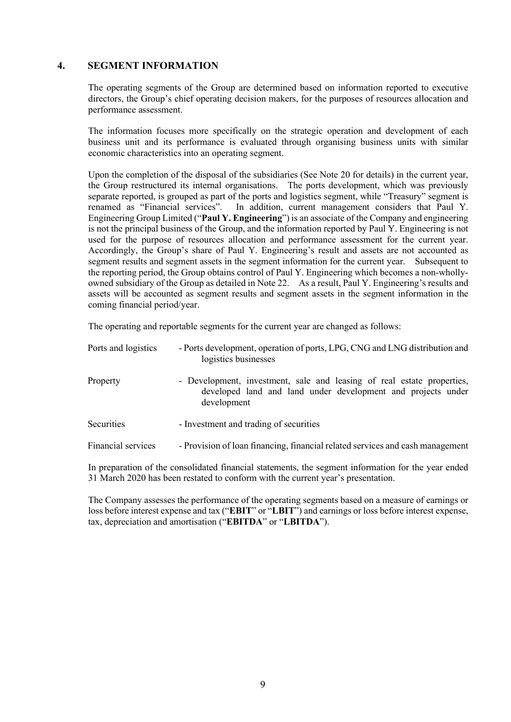#### **4. SEGMENT INFORMATION**

The operating segments of the Group are determined based on information reported to executive directors, the Group's chief operating decision makers, for the purposes of resources allocation and performance assessment.

The information focuses more specifically on the strategic operation and development of each business unit and its performance is evaluated through organising business units with similar economic characteristics into an operating segment.

Upon the completion of the disposal of the subsidiaries (See Note 20 for details) in the current year, the Group restructured its internal organisations. The ports development, which was previously separate reported, is grouped as part of the ports and logistics segment, while "Treasury" segment is renamed as "Financial services". In addition, current management considers that Paul Y. Engineering Group Limited ("**Paul Y. Engineering**") is an associate of the Company and engineering is not the principal business of the Group, and the information reported by Paul Y. Engineering is not used for the purpose of resources allocation and performance assessment for the current year. Accordingly, the Group's share of Paul Y. Engineering's result and assets are not accounted as segment results and segment assets in the segment information for the current year. Subsequent to the reporting period, the Group obtains control of Paul Y. Engineering which becomes a non-whollyowned subsidiary of the Group as detailed in Note 22. As a result, Paul Y. Engineering's results and assets will be accounted as segment results and segment assets in the segment information in the coming financial period/year.

The operating and reportable segments for the current year are changed as follows:

| Ports and logistics | - Ports development, operation of ports, LPG, CNG and LNG distribution and<br>logistics businesses                                                    |
|---------------------|-------------------------------------------------------------------------------------------------------------------------------------------------------|
| Property            | - Development, investment, sale and leasing of real estate properties,<br>developed land and land under development and projects under<br>development |
| Securities          | - Investment and trading of securities                                                                                                                |
| Financial services  | - Provision of loan financing, financial related services and cash management                                                                         |

In preparation of the consolidated financial statements, the segment information for the year ended 31 March 2020 has been restated to conform with the current year's presentation.

The Company assesses the performance of the operating segments based on a measure of earnings or loss before interest expense and tax ("**EBIT**" or "**LBIT**") and earnings or loss before interest expense, tax, depreciation and amortisation ("**EBITDA**" or "**LBITDA**").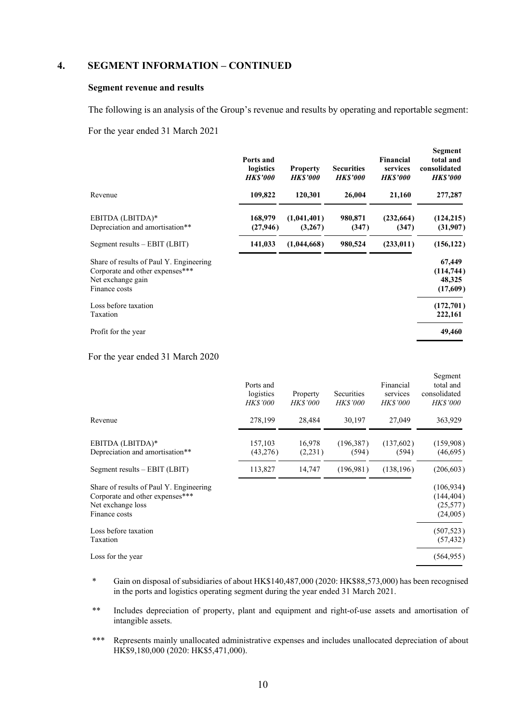#### **4. SEGMENT INFORMATION – CONTINUED**

#### **Segment revenue and results**

The following is an analysis of the Group's revenue and results by operating and reportable segment:

#### For the year ended 31 March 2021

|                                                                                                                  | Ports and<br>logistics<br><b>HK\$'000</b> | <b>Property</b><br><b>HK\$'000</b> | <b>Securities</b><br><b>HKS'000</b> | <b>Financial</b><br>services<br><b>HK\$'000</b> | Segment<br>total and<br>consolidated<br><b>HK\$'000</b> |
|------------------------------------------------------------------------------------------------------------------|-------------------------------------------|------------------------------------|-------------------------------------|-------------------------------------------------|---------------------------------------------------------|
| Revenue                                                                                                          | 109,822                                   | 120,301                            | 26,004                              | 21,160                                          | 277,287                                                 |
| EBITDA (LBITDA)*<br>Depreciation and amortisation**                                                              | 168,979<br>(27, 946)                      | (1,041,401)<br>(3,267)             | 980,871<br>(347)                    | (232, 664)<br>(347)                             | (124, 215)<br>(31,907)                                  |
| Segment results $-$ EBIT (LBIT)                                                                                  | 141,033                                   | (1,044,668)                        | 980,524                             | (233, 011)                                      | (156, 122)                                              |
| Share of results of Paul Y. Engineering<br>Corporate and other expenses***<br>Net exchange gain<br>Finance costs |                                           |                                    |                                     |                                                 | 67,449<br>(114, 744)<br>48,325<br>(17,609)              |
| Loss before taxation<br>Taxation                                                                                 |                                           |                                    |                                     |                                                 | (172,701)<br>222,161                                    |
| Profit for the year                                                                                              |                                           |                                    |                                     |                                                 | 49,460                                                  |

#### For the year ended 31 March 2020

|                                                                                                                  | Ports and<br>logistics<br><b>HK\$'000</b> | Property<br><b>HK\$'000</b> | Securities<br><b>HK\$'000</b> | Financial<br>services<br><b>HK\$'000</b> | эедшеш<br>total and<br>consolidated<br><b>HK\$'000</b> |
|------------------------------------------------------------------------------------------------------------------|-------------------------------------------|-----------------------------|-------------------------------|------------------------------------------|--------------------------------------------------------|
| Revenue                                                                                                          | 278,199                                   | 28,484                      | 30,197                        | 27,049                                   | 363,929                                                |
| EBITDA (LBITDA)*<br>Depreciation and amortisation**                                                              | 157,103<br>(43,276)                       | 16,978<br>(2,231)           | (196,387)<br>(594)            | (137,602)<br>(594)                       | (159,908)<br>(46,695)                                  |
| Segment results $-$ EBIT (LBIT)                                                                                  | 113,827                                   | 14,747                      | (196,981)                     | (138, 196)                               | (206, 603)                                             |
| Share of results of Paul Y. Engineering<br>Corporate and other expenses***<br>Net exchange loss<br>Finance costs |                                           |                             |                               |                                          | (106, 934)<br>(144, 404)<br>(25,577)<br>(24,005)       |
| Loss before taxation<br>Taxation                                                                                 |                                           |                             |                               |                                          | (507, 523)<br>(57, 432)                                |
| Loss for the year                                                                                                |                                           |                             |                               |                                          | (564, 955)                                             |

 $\sigma$   $\alpha$ 

- \* Gain on disposal of subsidiaries of about HK\$140,487,000 (2020: HK\$88,573,000) has been recognised in the ports and logistics operating segment during the year ended 31 March 2021.
- \*\* Includes depreciation of property, plant and equipment and right-of-use assets and amortisation of intangible assets.
- \*\*\* Represents mainly unallocated administrative expenses and includes unallocated depreciation of about HK\$9,180,000 (2020: HK\$5,471,000).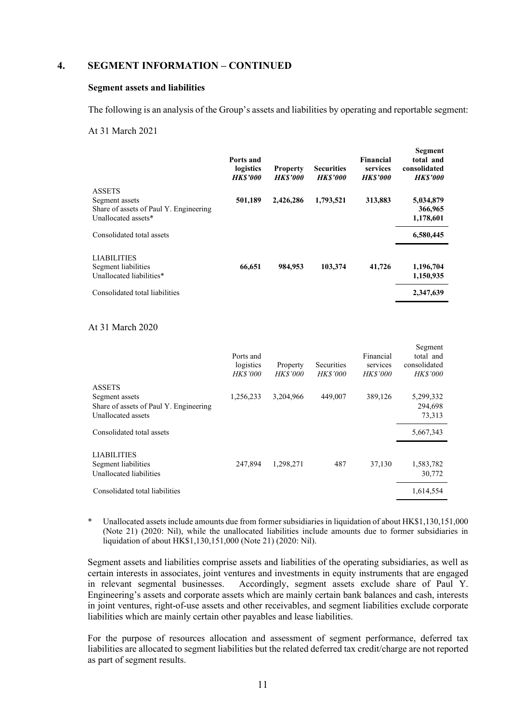#### **4. SEGMENT INFORMATION – CONTINUED**

#### **Segment assets and liabilities**

The following is an analysis of the Group's assets and liabilities by operating and reportable segment:

**Segment**

 $\mathbf{S}$   $\mathbf{S}$ 

#### At 31 March 2021

|                                                                                                  | Ports and<br>logistics<br><b>HK\$'000</b> | <b>Property</b><br><b>HKS'000</b> | <b>Securities</b><br><b>HKS'000</b> | Financial<br>services<br><b>HKS'000</b> | эсгинент<br>total and<br>consolidated<br><b>HKS'000</b> |
|--------------------------------------------------------------------------------------------------|-------------------------------------------|-----------------------------------|-------------------------------------|-----------------------------------------|---------------------------------------------------------|
| <b>ASSETS</b><br>Segment assets<br>Share of assets of Paul Y. Engineering<br>Unallocated assets* | 501,189                                   | 2,426,286                         | 1,793,521                           | 313,883                                 | 5,034,879<br>366,965<br>1,178,601                       |
| Consolidated total assets                                                                        |                                           |                                   |                                     |                                         | 6,580,445                                               |
| <b>LIABILITIES</b><br>Segment liabilities<br>Unallocated liabilities*                            | 66,651                                    | 984,953                           | 103,374                             | 41,726                                  | 1,196,704<br>1,150,935                                  |
| Consolidated total liabilities                                                                   |                                           |                                   |                                     |                                         | 2,347,639                                               |

#### At 31 March 2020

|                                                                                                 | Ports and<br>logistics<br><b>HK\$'000</b> | Property<br><i>HK\$'000</i> | Securities<br><b>HK\$'000</b> | Financial<br>services<br><b>HK\$'000</b> | segment<br>total and<br>consolidated<br><b>HK\$'000</b> |
|-------------------------------------------------------------------------------------------------|-------------------------------------------|-----------------------------|-------------------------------|------------------------------------------|---------------------------------------------------------|
| <b>ASSETS</b><br>Segment assets<br>Share of assets of Paul Y. Engineering<br>Unallocated assets | 1,256,233                                 | 3,204,966                   | 449,007                       | 389,126                                  | 5,299,332<br>294,698<br>73,313                          |
| Consolidated total assets                                                                       |                                           |                             |                               |                                          | 5,667,343                                               |
| <b>LIABILITIES</b><br>Segment liabilities<br>Unallocated liabilities                            | 247,894                                   | 1,298,271                   | 487                           | 37,130                                   | 1,583,782<br>30,772                                     |
| Consolidated total liabilities                                                                  |                                           |                             |                               |                                          | 1,614,554                                               |

Unallocated assets include amounts due from former subsidiaries in liquidation of about HK\$1,130,151,000 (Note 21) (2020: Nil), while the unallocated liabilities include amounts due to former subsidiaries in liquidation of about HK\$1,130,151,000 (Note 21) (2020: Nil).

Segment assets and liabilities comprise assets and liabilities of the operating subsidiaries, as well as certain interests in associates, joint ventures and investments in equity instruments that are engaged in relevant segmental businesses. Accordingly, segment assets exclude share of Paul Y. Engineering's assets and corporate assets which are mainly certain bank balances and cash, interests in joint ventures, right-of-use assets and other receivables, and segment liabilities exclude corporate liabilities which are mainly certain other payables and lease liabilities.

For the purpose of resources allocation and assessment of segment performance, deferred tax liabilities are allocated to segment liabilities but the related deferred tax credit/charge are not reported as part of segment results.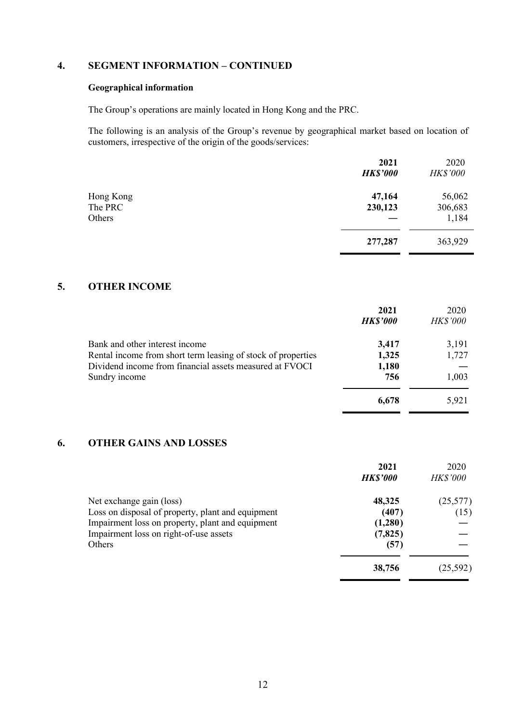## **4. SEGMENT INFORMATION – CONTINUED**

#### **Geographical information**

The Group's operations are mainly located in Hong Kong and the PRC.

The following is an analysis of the Group's revenue by geographical market based on location of customers, irrespective of the origin of the goods/services:

|           | 2021<br><b>HK\$'000</b> | 2020<br><b>HK\$'000</b> |
|-----------|-------------------------|-------------------------|
|           |                         |                         |
| Hong Kong | 47,164                  | 56,062                  |
| The PRC   | 230,123                 | 306,683                 |
| Others    |                         | 1,184                   |
|           | 277,287                 | 363,929                 |

### **5. OTHER INCOME**

|                                                              | 2021            | 2020            |
|--------------------------------------------------------------|-----------------|-----------------|
|                                                              | <b>HK\$'000</b> | <b>HK\$'000</b> |
| Bank and other interest income                               | 3,417           | 3,191           |
| Rental income from short term leasing of stock of properties | 1,325           | 1,727           |
| Dividend income from financial assets measured at FVOCI      | 1,180           |                 |
| Sundry income                                                | 756             | 1,003           |
|                                                              | 6,678           | 5,921           |

#### **6. OTHER GAINS AND LOSSES**

|                                                   | 2021<br><b>HK\$'000</b> | 2020<br><b>HK\$'000</b> |
|---------------------------------------------------|-------------------------|-------------------------|
| Net exchange gain (loss)                          | 48,325                  | (25,577)                |
| Loss on disposal of property, plant and equipment | (407)                   | (15)                    |
| Impairment loss on property, plant and equipment  | (1,280)                 |                         |
| Impairment loss on right-of-use assets            | (7, 825)                |                         |
| <b>Others</b>                                     | (57)                    |                         |
|                                                   | 38,756                  | (25, 592)               |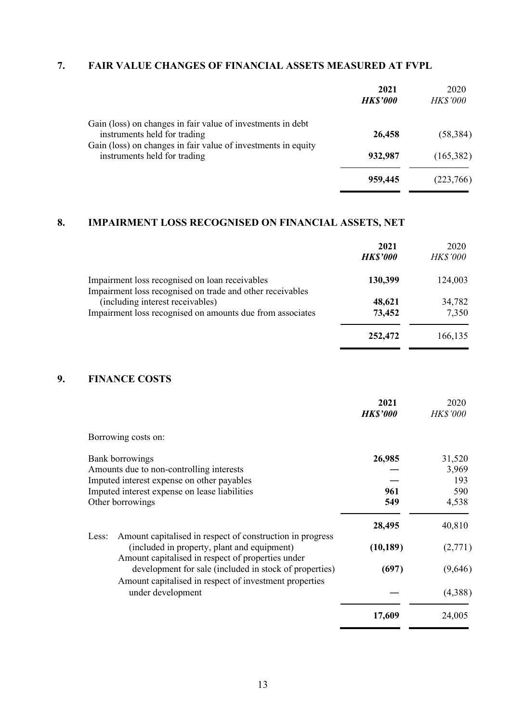## **7. FAIR VALUE CHANGES OF FINANCIAL ASSETS MEASURED AT FVPL**

| 2021<br><b>HK\$'000</b> | 2020<br><b>HK\$'000</b> |
|-------------------------|-------------------------|
|                         | (58, 384)               |
| 932,987                 | (165,382)               |
| 959,445                 | (223, 766)              |
|                         | 26,458                  |

## **8. IMPAIRMENT LOSS RECOGNISED ON FINANCIAL ASSETS, NET**

|                                                                                                             | 2021<br><b>HK\$'000</b> | 2020<br><b>HK\$'000</b> |
|-------------------------------------------------------------------------------------------------------------|-------------------------|-------------------------|
| Impairment loss recognised on loan receivables<br>Impairment loss recognised on trade and other receivables | 130,399                 | 124,003                 |
| (including interest receivables)                                                                            | 48,621                  | 34,782                  |
| Impairment loss recognised on amounts due from associates                                                   | 73,452                  | 7,350                   |
|                                                                                                             | 252,472                 | 166,135                 |

## **9. FINANCE COSTS**

|                                                                                                                                                                                | 2021<br><b>HK\$'000</b> | 2020<br><b>HK\$'000</b>                |
|--------------------------------------------------------------------------------------------------------------------------------------------------------------------------------|-------------------------|----------------------------------------|
| Borrowing costs on:                                                                                                                                                            |                         |                                        |
| Bank borrowings<br>Amounts due to non-controlling interests<br>Imputed interest expense on other payables<br>Imputed interest expense on lease liabilities<br>Other borrowings | 26,985<br>961<br>549    | 31,520<br>3,969<br>193<br>590<br>4,538 |
| Amount capitalised in respect of construction in progress<br>Less:                                                                                                             | 28,495                  | 40,810                                 |
| (included in property, plant and equipment)<br>Amount capitalised in respect of properties under                                                                               | (10, 189)               | (2,771)                                |
| development for sale (included in stock of properties)<br>Amount capitalised in respect of investment properties                                                               | (697)                   | (9,646)                                |
| under development                                                                                                                                                              |                         | (4,388)                                |
|                                                                                                                                                                                | 17,609                  | 24,005                                 |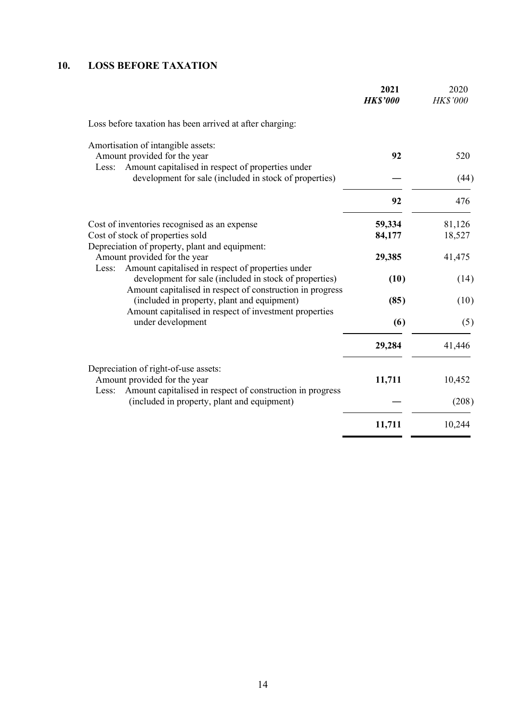## **10. LOSS BEFORE TAXATION**

|                                                                                                                                              | 2021<br><b>HK\$'000</b> | 2020<br>HK\$'000 |
|----------------------------------------------------------------------------------------------------------------------------------------------|-------------------------|------------------|
| Loss before taxation has been arrived at after charging:                                                                                     |                         |                  |
| Amortisation of intangible assets:<br>Amount provided for the year                                                                           | 92                      | 520              |
| Amount capitalised in respect of properties under<br>Less:<br>development for sale (included in stock of properties)                         |                         | (44)             |
|                                                                                                                                              | 92                      | 476              |
| Cost of inventories recognised as an expense                                                                                                 | 59,334                  | 81,126           |
| Cost of stock of properties sold                                                                                                             | 84,177                  | 18,527           |
| Depreciation of property, plant and equipment:<br>Amount provided for the year<br>Amount capitalised in respect of properties under<br>Less: | 29,385                  | 41,475           |
| development for sale (included in stock of properties)<br>Amount capitalised in respect of construction in progress                          | (10)                    | (14)             |
| (included in property, plant and equipment)<br>Amount capitalised in respect of investment properties                                        | (85)                    | (10)             |
| under development                                                                                                                            | (6)                     | (5)              |
|                                                                                                                                              | 29,284                  | 41,446           |
| Depreciation of right-of-use assets:                                                                                                         |                         |                  |
| Amount provided for the year<br>Amount capitalised in respect of construction in progress<br>Less:                                           | 11,711                  | 10,452           |
| (included in property, plant and equipment)                                                                                                  |                         | (208)            |
|                                                                                                                                              | 11,711                  | 10,244           |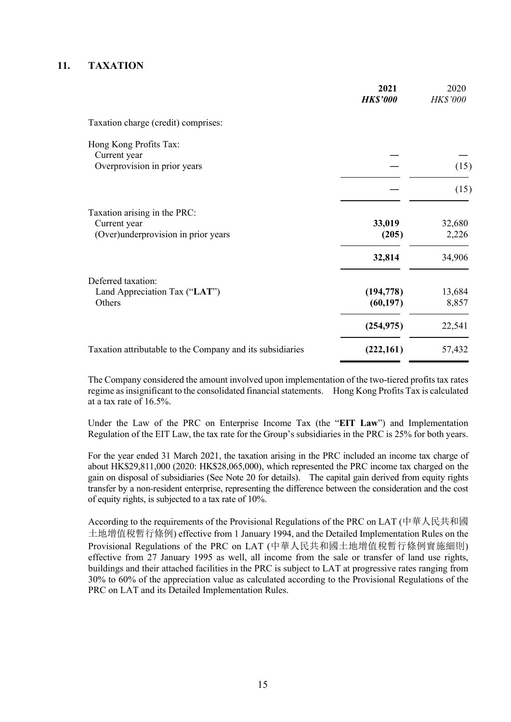#### **11. TAXATION**

|                                                           | 2021<br><b>HK\$'000</b> | 2020<br>HK\$'000 |
|-----------------------------------------------------------|-------------------------|------------------|
| Taxation charge (credit) comprises:                       |                         |                  |
| Hong Kong Profits Tax:<br>Current year                    |                         |                  |
| Overprovision in prior years                              |                         | (15)             |
|                                                           |                         | (15)             |
| Taxation arising in the PRC:<br>Current year              | 33,019                  | 32,680           |
| (Over)underprovision in prior years                       | (205)                   | 2,226            |
| Deferred taxation:                                        | 32,814                  | 34,906           |
| Land Appreciation Tax ("LAT")<br>Others                   | (194, 778)<br>(60, 197) | 13,684<br>8,857  |
|                                                           | (254, 975)              | 22,541           |
| Taxation attributable to the Company and its subsidiaries | (222,161)               | 57,432           |

The Company considered the amount involved upon implementation of the two-tiered profits tax rates regime as insignificant to the consolidated financial statements. Hong Kong Profits Tax is calculated at a tax rate of 16.5%.

Under the Law of the PRC on Enterprise Income Tax (the "**EIT Law**") and Implementation Regulation of the EIT Law, the tax rate for the Group's subsidiaries in the PRC is 25% for both years.

For the year ended 31 March 2021, the taxation arising in the PRC included an income tax charge of about HK\$29,811,000 (2020: HK\$28,065,000), which represented the PRC income tax charged on the gain on disposal of subsidiaries (See Note 20 for details). The capital gain derived from equity rights transfer by a non-resident enterprise, representing the difference between the consideration and the cost of equity rights, is subjected to a tax rate of 10%.

According to the requirements of the Provisional Regulations of the PRC on LAT (中華人民共和國 土地增值稅暫行條例) effective from 1 January 1994, and the Detailed Implementation Rules on the Provisional Regulations of the PRC on LAT (中華人民共和國土地增值稅暫行條例實施細則) effective from 27 January 1995 as well, all income from the sale or transfer of land use rights, buildings and their attached facilities in the PRC is subject to LAT at progressive rates ranging from 30% to 60% of the appreciation value as calculated according to the Provisional Regulations of the PRC on LAT and its Detailed Implementation Rules.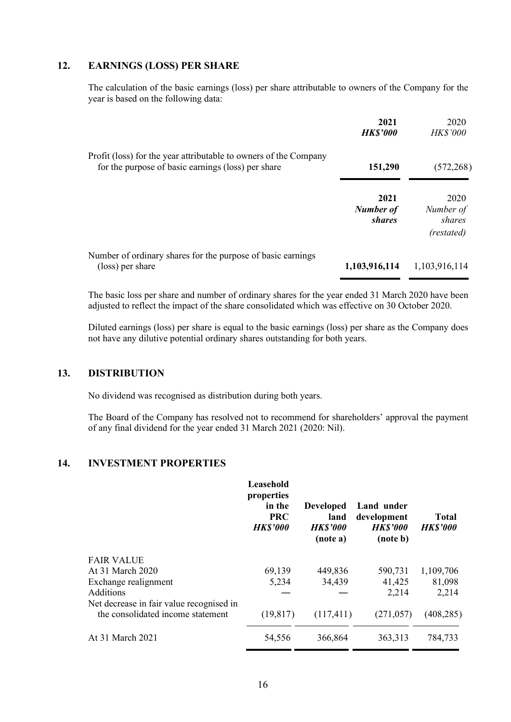## **12. EARNINGS (LOSS) PER SHARE**

The calculation of the basic earnings (loss) per share attributable to owners of the Company for the year is based on the following data:

|                                                                                                                        | 2021<br><b>HK\$'000</b>                   | 2020<br><b>HK\$'000</b>                   |
|------------------------------------------------------------------------------------------------------------------------|-------------------------------------------|-------------------------------------------|
| Profit (loss) for the year attributable to owners of the Company<br>for the purpose of basic earnings (loss) per share | 151,290                                   | (572, 268)                                |
|                                                                                                                        | 2021<br><b>Number of</b><br><i>shares</i> | 2020<br>Number of<br>shares<br>(restated) |
| Number of ordinary shares for the purpose of basic earnings<br>(loss) per share                                        | 1,103,916,114                             | 1,103,916,114                             |

The basic loss per share and number of ordinary shares for the year ended 31 March 2020 have been adjusted to reflect the impact of the share consolidated which was effective on 30 October 2020.

Diluted earnings (loss) per share is equal to the basic earnings (loss) per share as the Company does not have any dilutive potential ordinary shares outstanding for both years.

#### **13. DISTRIBUTION**

No dividend was recognised as distribution during both years.

The Board of the Company has resolved not to recommend for shareholders' approval the payment of any final dividend for the year ended 31 March 2021 (2020: Nil).

#### **14. INVESTMENT PROPERTIES**

|                                          | Leasehold<br>properties<br>in the<br><b>PRC</b><br><b>HK\$'000</b> | <b>Developed</b><br>land<br><b>HK\$'000</b><br>(note a) | Land under<br>development<br><b>HK\$'000</b><br>(note b) | <b>Total</b><br><b>HK\$'000</b> |
|------------------------------------------|--------------------------------------------------------------------|---------------------------------------------------------|----------------------------------------------------------|---------------------------------|
| <b>FAIR VALUE</b>                        |                                                                    |                                                         |                                                          |                                 |
| At 31 March 2020                         | 69,139                                                             | 449,836                                                 | 590,731                                                  | 1,109,706                       |
| Exchange realignment                     | 5,234                                                              | 34,439                                                  | 41,425                                                   | 81,098                          |
| Additions                                |                                                                    |                                                         | 2,214                                                    | 2,214                           |
| Net decrease in fair value recognised in |                                                                    |                                                         |                                                          |                                 |
| the consolidated income statement        | (19, 817)                                                          | (117, 411)                                              | (271, 057)                                               | (408, 285)                      |
| At 31 March 2021                         | 54,556                                                             | 366,864                                                 | 363,313                                                  | 784,733                         |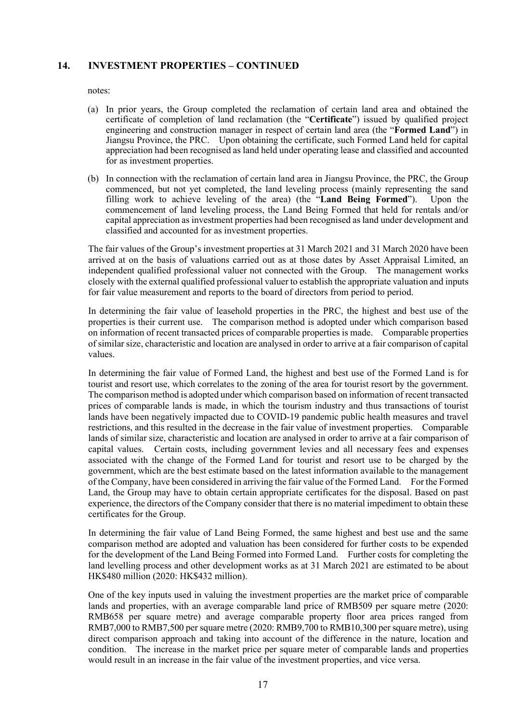#### **14. INVESTMENT PROPERTIES – CONTINUED**

notes:

- (a) In prior years, the Group completed the reclamation of certain land area and obtained the certificate of completion of land reclamation (the "**Certificate**") issued by qualified project engineering and construction manager in respect of certain land area (the "**Formed Land**") in Jiangsu Province, the PRC. Upon obtaining the certificate, such Formed Land held for capital appreciation had been recognised as land held under operating lease and classified and accounted for as investment properties.
- (b) In connection with the reclamation of certain land area in Jiangsu Province, the PRC, the Group commenced, but not yet completed, the land leveling process (mainly representing the sand filling work to achieve leveling of the area) (the "**Land Being Formed**"). Upon the commencement of land leveling process, the Land Being Formed that held for rentals and/or capital appreciation as investment properties had been recognised as land under development and classified and accounted for as investment properties.

The fair values of the Group's investment properties at 31 March 2021 and 31 March 2020 have been arrived at on the basis of valuations carried out as at those dates by Asset Appraisal Limited, an independent qualified professional valuer not connected with the Group. The management works closely with the external qualified professional valuer to establish the appropriate valuation and inputs for fair value measurement and reports to the board of directors from period to period.

In determining the fair value of leasehold properties in the PRC, the highest and best use of the properties is their current use. The comparison method is adopted under which comparison based on information of recent transacted prices of comparable properties is made. Comparable properties of similar size, characteristic and location are analysed in order to arrive at a fair comparison of capital values.

In determining the fair value of Formed Land, the highest and best use of the Formed Land is for tourist and resort use, which correlates to the zoning of the area for tourist resort by the government. The comparison method is adopted under which comparison based on information of recent transacted prices of comparable lands is made, in which the tourism industry and thus transactions of tourist lands have been negatively impacted due to COVID-19 pandemic public health measures and travel restrictions, and this resulted in the decrease in the fair value of investment properties. Comparable lands of similar size, characteristic and location are analysed in order to arrive at a fair comparison of capital values. Certain costs, including government levies and all necessary fees and expenses associated with the change of the Formed Land for tourist and resort use to be charged by the government, which are the best estimate based on the latest information available to the management of the Company, have been considered in arriving the fair value of the Formed Land. For the Formed Land, the Group may have to obtain certain appropriate certificates for the disposal. Based on past experience, the directors of the Company consider that there is no material impediment to obtain these certificates for the Group.

In determining the fair value of Land Being Formed, the same highest and best use and the same comparison method are adopted and valuation has been considered for further costs to be expended for the development of the Land Being Formed into Formed Land. Further costs for completing the land levelling process and other development works as at 31 March 2021 are estimated to be about HK\$480 million (2020: HK\$432 million).

One of the key inputs used in valuing the investment properties are the market price of comparable lands and properties, with an average comparable land price of RMB509 per square metre (2020: RMB658 per square metre) and average comparable property floor area prices ranged from RMB7,000 to RMB7,500 per square metre (2020: RMB9,700 to RMB10,300 per square metre), using direct comparison approach and taking into account of the difference in the nature, location and condition. The increase in the market price per square meter of comparable lands and properties would result in an increase in the fair value of the investment properties, and vice versa.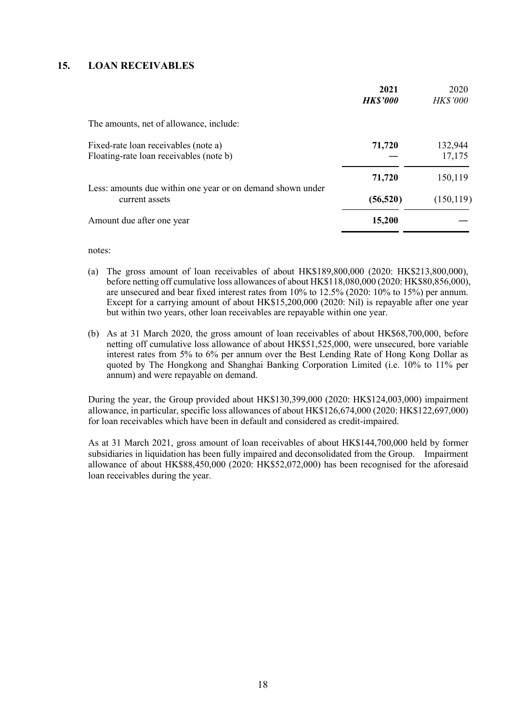#### **15. LOAN RECEIVABLES**

|                                                                                 | 2021<br><b>HK\$'000</b> | 2020<br><b>HK\$'000</b> |
|---------------------------------------------------------------------------------|-------------------------|-------------------------|
| The amounts, net of allowance, include:                                         |                         |                         |
| Fixed-rate loan receivables (note a)<br>Floating-rate loan receivables (note b) | 71,720                  | 132,944<br>17,175       |
| Less: amounts due within one year or on demand shown under<br>current assets    | 71,720<br>(56, 520)     | 150,119<br>(150, 119)   |
| Amount due after one year                                                       | 15,200                  |                         |

notes:

- (a) The gross amount of loan receivables of about HK\$189,800,000 (2020: HK\$213,800,000), before netting off cumulative loss allowances of about HK\$118,080,000 (2020: HK\$80,856,000), are unsecured and bear fixed interest rates from 10% to 12.5% (2020: 10% to 15%) per annum. Except for a carrying amount of about HK\$15,200,000 (2020: Nil) is repayable after one year but within two years, other loan receivables are repayable within one year.
- (b) As at 31 March 2020, the gross amount of loan receivables of about HK\$68,700,000, before netting off cumulative loss allowance of about HK\$51,525,000, were unsecured, bore variable interest rates from 5% to 6% per annum over the Best Lending Rate of Hong Kong Dollar as quoted by The Hongkong and Shanghai Banking Corporation Limited (i.e. 10% to 11% per annum) and were repayable on demand.

During the year, the Group provided about HK\$130,399,000 (2020: HK\$124,003,000) impairment allowance, in particular, specific loss allowances of about HK\$126,674,000 (2020: HK\$122,697,000) for loan receivables which have been in default and considered as credit-impaired.

As at 31 March 2021, gross amount of loan receivables of about HK\$144,700,000 held by former subsidiaries in liquidation has been fully impaired and deconsolidated from the Group. Impairment allowance of about HK\$88,450,000 (2020: HK\$52,072,000) has been recognised for the aforesaid loan receivables during the year.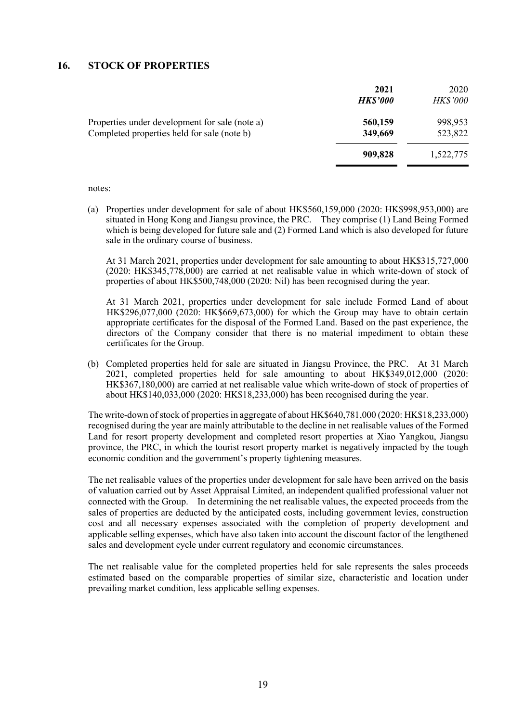#### **16. STOCK OF PROPERTIES**

|                                                                                               | 2021<br><b>HK\$'000</b> | 2020<br><b>HK\$'000</b> |
|-----------------------------------------------------------------------------------------------|-------------------------|-------------------------|
| Properties under development for sale (note a)<br>Completed properties held for sale (note b) | 560,159<br>349,669      | 998,953<br>523,822      |
|                                                                                               | 909,828                 | 1,522,775               |

notes:

(a) Properties under development for sale of about HK\$560,159,000 (2020: HK\$998,953,000) are situated in Hong Kong and Jiangsu province, the PRC. They comprise (1) Land Being Formed which is being developed for future sale and (2) Formed Land which is also developed for future sale in the ordinary course of business.

At 31 March 2021, properties under development for sale amounting to about HK\$315,727,000 (2020: HK\$345,778,000) are carried at net realisable value in which write-down of stock of properties of about HK\$500,748,000 (2020: Nil) has been recognised during the year.

At 31 March 2021, properties under development for sale include Formed Land of about HK\$296,077,000 (2020: HK\$669,673,000) for which the Group may have to obtain certain appropriate certificates for the disposal of the Formed Land. Based on the past experience, the directors of the Company consider that there is no material impediment to obtain these certificates for the Group.

(b) Completed properties held for sale are situated in Jiangsu Province, the PRC. At 31 March 2021, completed properties held for sale amounting to about HK\$349,012,000 (2020: HK\$367,180,000) are carried at net realisable value which write-down of stock of properties of about HK\$140,033,000 (2020: HK\$18,233,000) has been recognised during the year.

The write-down of stock of properties in aggregate of about HK\$640,781,000 (2020: HK\$18,233,000) recognised during the year are mainly attributable to the decline in net realisable values of the Formed Land for resort property development and completed resort properties at Xiao Yangkou, Jiangsu province, the PRC, in which the tourist resort property market is negatively impacted by the tough economic condition and the government's property tightening measures.

The net realisable values of the properties under development for sale have been arrived on the basis of valuation carried out by Asset Appraisal Limited, an independent qualified professional valuer not connected with the Group. In determining the net realisable values, the expected proceeds from the sales of properties are deducted by the anticipated costs, including government levies, construction cost and all necessary expenses associated with the completion of property development and applicable selling expenses, which have also taken into account the discount factor of the lengthened sales and development cycle under current regulatory and economic circumstances.

The net realisable value for the completed properties held for sale represents the sales proceeds estimated based on the comparable properties of similar size, characteristic and location under prevailing market condition, less applicable selling expenses.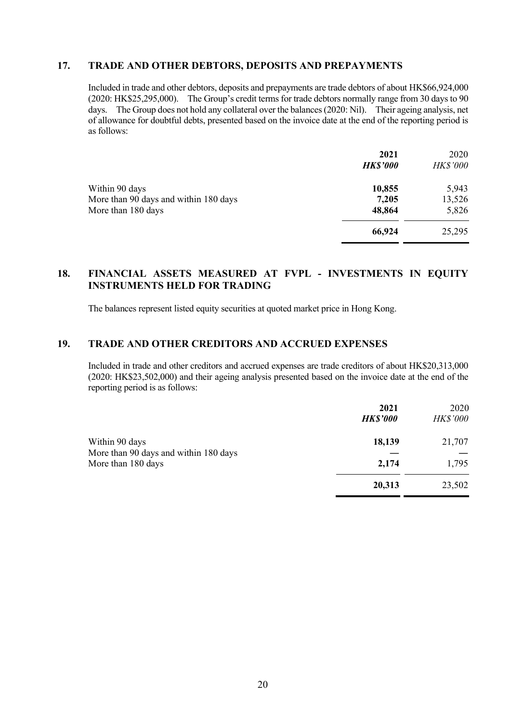#### **17. TRADE AND OTHER DEBTORS, DEPOSITS AND PREPAYMENTS**

Included in trade and other debtors, deposits and prepayments are trade debtors of about HK\$66,924,000 (2020: HK\$25,295,000). The Group's credit terms for trade debtors normally range from 30 days to 90 days. The Group does not hold any collateral over the balances (2020: Nil). Their ageing analysis, net of allowance for doubtful debts, presented based on the invoice date at the end of the reporting period is as follows:

|                                       | 2021<br><b>HK\$'000</b> | 2020<br><b>HK\$'000</b> |
|---------------------------------------|-------------------------|-------------------------|
| Within 90 days                        | 10,855                  | 5,943                   |
| More than 90 days and within 180 days | 7,205                   | 13,526                  |
| More than 180 days                    | 48,864                  | 5,826                   |
|                                       | 66,924                  | 25,295                  |

#### **18. FINANCIAL ASSETS MEASURED AT FVPL - INVESTMENTS IN EQUITY INSTRUMENTS HELD FOR TRADING**

The balances represent listed equity securities at quoted market price in Hong Kong.

### **19. TRADE AND OTHER CREDITORS AND ACCRUED EXPENSES**

Included in trade and other creditors and accrued expenses are trade creditors of about HK\$20,313,000 (2020: HK\$23,502,000) and their ageing analysis presented based on the invoice date at the end of the reporting period is as follows:

|                                                                               | 2021<br><b>HK\$'000</b> | 2020<br><b>HK\$'000</b> |
|-------------------------------------------------------------------------------|-------------------------|-------------------------|
| Within 90 days<br>More than 90 days and within 180 days<br>More than 180 days | 18,139                  | 21,707                  |
|                                                                               | 2,174                   | 1,795                   |
|                                                                               | 20,313                  | 23,502                  |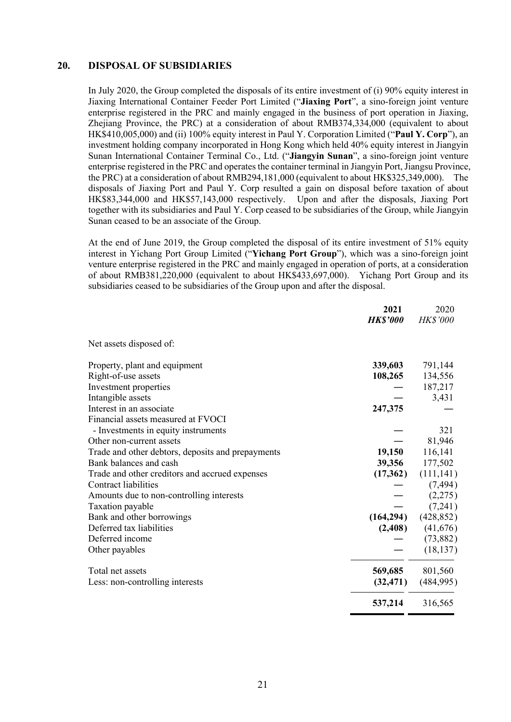#### **20. DISPOSAL OF SUBSIDIARIES**

In July 2020, the Group completed the disposals of its entire investment of (i) 90% equity interest in Jiaxing International Container Feeder Port Limited ("**Jiaxing Port**", a sino-foreign joint venture enterprise registered in the PRC and mainly engaged in the business of port operation in Jiaxing, Zhejiang Province, the PRC) at a consideration of about RMB374,334,000 (equivalent to about HK\$410,005,000) and (ii) 100% equity interest in Paul Y. Corporation Limited ("**Paul Y. Corp**"), an investment holding company incorporated in Hong Kong which held 40% equity interest in Jiangyin Sunan International Container Terminal Co., Ltd. ("**Jiangyin Sunan**", a sino-foreign joint venture enterprise registered in the PRC and operates the container terminal in Jiangyin Port, Jiangsu Province, the PRC) at a consideration of about RMB294,181,000 (equivalent to about HK\$325,349,000). The disposals of Jiaxing Port and Paul Y. Corp resulted a gain on disposal before taxation of about HK\$83,344,000 and HK\$57,143,000 respectively. Upon and after the disposals, Jiaxing Port together with its subsidiaries and Paul Y. Corp ceased to be subsidiaries of the Group, while Jiangyin Sunan ceased to be an associate of the Group.

At the end of June 2019, the Group completed the disposal of its entire investment of 51% equity interest in Yichang Port Group Limited ("**Yichang Port Group**"), which was a sino-foreign joint venture enterprise registered in the PRC and mainly engaged in operation of ports, at a consideration of about RMB381,220,000 (equivalent to about HK\$433,697,000). Yichang Port Group and its subsidiaries ceased to be subsidiaries of the Group upon and after the disposal.

|                                                   | 2021            | 2020                    |
|---------------------------------------------------|-----------------|-------------------------|
|                                                   | <b>HK\$'000</b> | <b>HK\$'000</b>         |
| Net assets disposed of:                           |                 |                         |
| Property, plant and equipment                     | 339,603         | 791,144                 |
| Right-of-use assets                               | 108,265         | 134,556                 |
| Investment properties                             |                 | 187,217                 |
| Intangible assets                                 |                 | 3,431                   |
| Interest in an associate                          | 247,375         |                         |
| Financial assets measured at FVOCI                |                 |                         |
| - Investments in equity instruments               |                 | 321                     |
| Other non-current assets                          |                 | 81,946                  |
| Trade and other debtors, deposits and prepayments | 19,150          | 116,141                 |
| Bank balances and cash                            | 39,356          | 177,502                 |
| Trade and other creditors and accrued expenses    | (17,362)        | (111, 141)              |
| Contract liabilities                              |                 | (7, 494)                |
| Amounts due to non-controlling interests          |                 | (2,275)                 |
| Taxation payable                                  |                 | (7,241)                 |
| Bank and other borrowings                         |                 | $(164,294)$ $(428,852)$ |
| Deferred tax liabilities                          |                 | $(2,408)$ $(41,676)$    |
| Deferred income                                   |                 | (73,882)                |
| Other payables                                    |                 | (18, 137)               |
| Total net assets                                  | 569,685         | 801,560                 |
| Less: non-controlling interests                   | (32, 471)       | (484,995)               |
|                                                   | 537,214         | 316,565                 |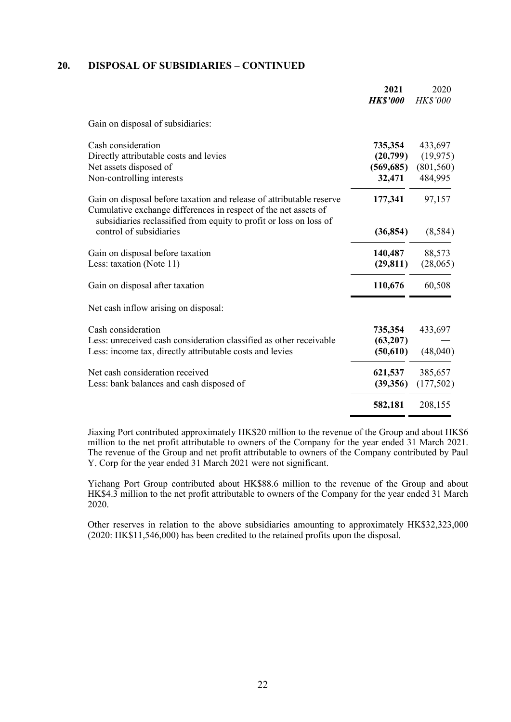#### **20. DISPOSAL OF SUBSIDIARIES – CONTINUED**

|                                                                                                                                                                                                               | 2021<br><b>HK\$'000</b>           | 2020<br><b>HK\$'000</b>            |
|---------------------------------------------------------------------------------------------------------------------------------------------------------------------------------------------------------------|-----------------------------------|------------------------------------|
| Gain on disposal of subsidiaries:                                                                                                                                                                             |                                   |                                    |
| Cash consideration<br>Directly attributable costs and levies<br>Net assets disposed of                                                                                                                        | 735,354<br>(20,799)<br>(569, 685) | 433,697<br>(19, 975)<br>(801, 560) |
| Non-controlling interests                                                                                                                                                                                     | 32,471                            | 484,995                            |
| Gain on disposal before taxation and release of attributable reserve<br>Cumulative exchange differences in respect of the net assets of<br>subsidiaries reclassified from equity to profit or loss on loss of | 177,341                           | 97,157                             |
| control of subsidiaries                                                                                                                                                                                       | (36, 854)                         | (8,584)                            |
| Gain on disposal before taxation<br>Less: taxation (Note 11)                                                                                                                                                  | 140,487<br>(29, 811)              | 88,573<br>(28,065)                 |
| Gain on disposal after taxation                                                                                                                                                                               | 110,676                           | 60,508                             |
| Net cash inflow arising on disposal:                                                                                                                                                                          |                                   |                                    |
| Cash consideration<br>Less: unreceived cash consideration classified as other receivable<br>Less: income tax, directly attributable costs and levies                                                          | 735,354<br>(63,207)<br>(50,610)   | 433,697<br>(48,040)                |
| Net cash consideration received<br>Less: bank balances and cash disposed of                                                                                                                                   | 621,537<br>(39, 356)              | 385,657<br>(177,502)               |
|                                                                                                                                                                                                               | 582,181                           | 208,155                            |

Jiaxing Port contributed approximately HK\$20 million to the revenue of the Group and about HK\$6 million to the net profit attributable to owners of the Company for the year ended 31 March 2021. The revenue of the Group and net profit attributable to owners of the Company contributed by Paul Y. Corp for the year ended 31 March 2021 were not significant.

Yichang Port Group contributed about HK\$88.6 million to the revenue of the Group and about HK\$4.3 million to the net profit attributable to owners of the Company for the year ended 31 March 2020.

Other reserves in relation to the above subsidiaries amounting to approximately HK\$32,323,000 (2020: HK\$11,546,000) has been credited to the retained profits upon the disposal.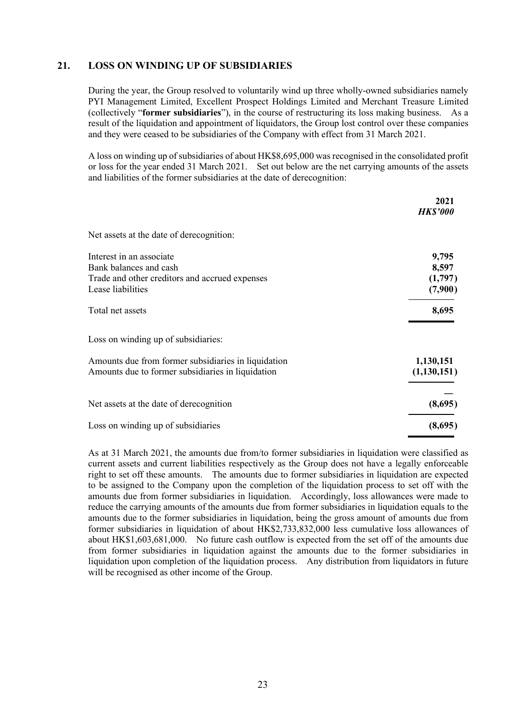#### **21. LOSS ON WINDING UP OF SUBSIDIARIES**

During the year, the Group resolved to voluntarily wind up three wholly-owned subsidiaries namely PYI Management Limited, Excellent Prospect Holdings Limited and Merchant Treasure Limited (collectively "**former subsidiaries**"), in the course of restructuring its loss making business. As a result of the liquidation and appointment of liquidators, the Group lost control over these companies and they were ceased to be subsidiaries of the Company with effect from 31 March 2021.

A loss on winding up of subsidiaries of about HK\$8,695,000 was recognised in the consolidated profit or loss for the year ended 31 March 2021. Set out below are the net carrying amounts of the assets and liabilities of the former subsidiaries at the date of derecognition:

|                                                     | 2021            |
|-----------------------------------------------------|-----------------|
|                                                     | <b>HK\$'000</b> |
| Net assets at the date of derecognition:            |                 |
| Interest in an associate                            | 9,795           |
| Bank balances and cash                              | 8,597           |
| Trade and other creditors and accrued expenses      | (1,797)         |
| Lease liabilities                                   | (7,900)         |
| Total net assets                                    | 8,695           |
| Loss on winding up of subsidiaries:                 |                 |
| Amounts due from former subsidiaries in liquidation | 1,130,151       |
| Amounts due to former subsidiaries in liquidation   | (1,130,151)     |
|                                                     |                 |
| Net assets at the date of derecognition             | (8,695)         |
| Loss on winding up of subsidiaries                  | (8,695)         |

As at 31 March 2021, the amounts due from/to former subsidiaries in liquidation were classified as current assets and current liabilities respectively as the Group does not have a legally enforceable right to set off these amounts. The amounts due to former subsidiaries in liquidation are expected to be assigned to the Company upon the completion of the liquidation process to set off with the amounts due from former subsidiaries in liquidation. Accordingly, loss allowances were made to reduce the carrying amounts of the amounts due from former subsidiaries in liquidation equals to the amounts due to the former subsidiaries in liquidation, being the gross amount of amounts due from former subsidiaries in liquidation of about HK\$2,733,832,000 less cumulative loss allowances of about HK\$1,603,681,000. No future cash outflow is expected from the set off of the amounts due from former subsidiaries in liquidation against the amounts due to the former subsidiaries in liquidation upon completion of the liquidation process. Any distribution from liquidators in future will be recognised as other income of the Group.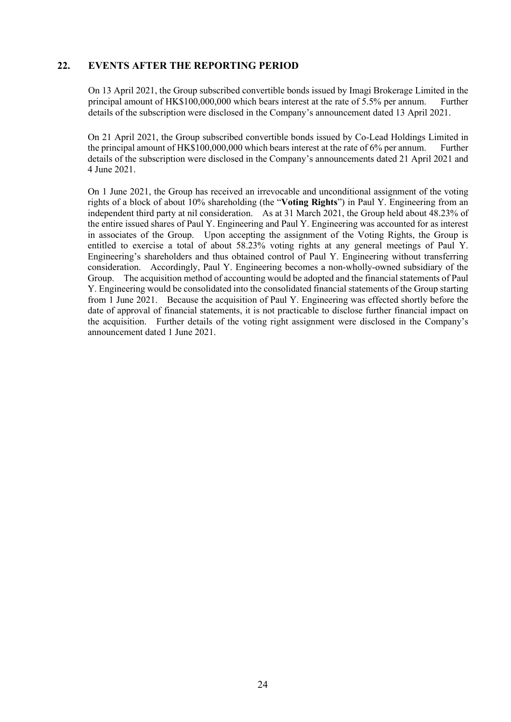#### **22. EVENTS AFTER THE REPORTING PERIOD**

On 13 April 2021, the Group subscribed convertible bonds issued by Imagi Brokerage Limited in the principal amount of HK\$100,000,000 which bears interest at the rate of 5.5% per annum. Further details of the subscription were disclosed in the Company's announcement dated 13 April 2021.

On 21 April 2021, the Group subscribed convertible bonds issued by Co-Lead Holdings Limited in the principal amount of HK\$100,000,000 which bears interest at the rate of 6% per annum. Further details of the subscription were disclosed in the Company's announcements dated 21 April 2021 and 4 June 2021.

On 1 June 2021, the Group has received an irrevocable and unconditional assignment of the voting rights of a block of about 10% shareholding (the "**Voting Rights**") in Paul Y. Engineering from an independent third party at nil consideration. As at 31 March 2021, the Group held about 48.23% of the entire issued shares of Paul Y. Engineering and Paul Y. Engineering was accounted for as interest in associates of the Group. Upon accepting the assignment of the Voting Rights, the Group is entitled to exercise a total of about 58.23% voting rights at any general meetings of Paul Y. Engineering's shareholders and thus obtained control of Paul Y. Engineering without transferring consideration. Accordingly, Paul Y. Engineering becomes a non-wholly-owned subsidiary of the Group. The acquisition method of accounting would be adopted and the financial statements of Paul Y. Engineering would be consolidated into the consolidated financial statements of the Group starting from 1 June 2021. Because the acquisition of Paul Y. Engineering was effected shortly before the date of approval of financial statements, it is not practicable to disclose further financial impact on the acquisition. Further details of the voting right assignment were disclosed in the Company's announcement dated 1 June 2021.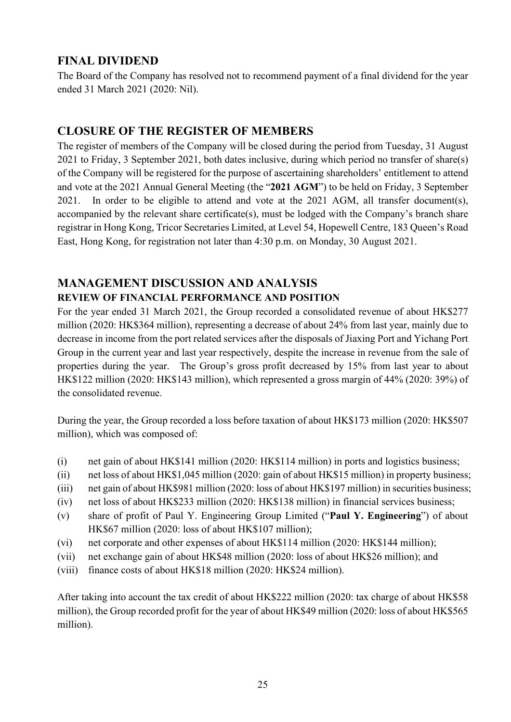## **FINAL DIVIDEND**

The Board of the Company has resolved not to recommend payment of a final dividend for the year ended 31 March 2021 (2020: Nil).

## **CLOSURE OF THE REGISTER OF MEMBERS**

The register of members of the Company will be closed during the period from Tuesday, 31 August 2021 to Friday, 3 September 2021, both dates inclusive, during which period no transfer of share(s) of the Company will be registered for the purpose of ascertaining shareholders' entitlement to attend and vote at the 2021 Annual General Meeting (the "**2021 AGM**") to be held on Friday, 3 September 2021. In order to be eligible to attend and vote at the 2021 AGM, all transfer document(s), accompanied by the relevant share certificate(s), must be lodged with the Company's branch share registrar in Hong Kong, Tricor Secretaries Limited, at Level 54, Hopewell Centre, 183 Queen's Road East, Hong Kong, for registration not later than 4:30 p.m. on Monday, 30 August 2021.

# **MANAGEMENT DISCUSSION AND ANALYSIS**

## **REVIEW OF FINANCIAL PERFORMANCE AND POSITION**

For the year ended 31 March 2021, the Group recorded a consolidated revenue of about HK\$277 million (2020: HK\$364 million), representing a decrease of about 24% from last year, mainly due to decrease in income from the port related services after the disposals of Jiaxing Port and Yichang Port Group in the current year and last year respectively, despite the increase in revenue from the sale of properties during the year. The Group's gross profit decreased by 15% from last year to about HK\$122 million (2020: HK\$143 million), which represented a gross margin of 44% (2020: 39%) of the consolidated revenue.

During the year, the Group recorded a loss before taxation of about HK\$173 million (2020: HK\$507 million), which was composed of:

- (i) net gain of about HK\$141 million (2020: HK\$114 million) in ports and logistics business;
- (ii) net loss of about HK\$1,045 million (2020: gain of about HK\$15 million) in property business;
- (iii) net gain of about HK\$981 million (2020: loss of about HK\$197 million) in securities business;
- (iv) net loss of about HK\$233 million (2020: HK\$138 million) in financial services business;
- (v) share of profit of Paul Y. Engineering Group Limited ("**Paul Y. Engineering**") of about HK\$67 million (2020: loss of about HK\$107 million);
- (vi) net corporate and other expenses of about HK\$114 million (2020: HK\$144 million);
- (vii) net exchange gain of about HK\$48 million (2020: loss of about HK\$26 million); and
- (viii) finance costs of about HK\$18 million (2020: HK\$24 million).

After taking into account the tax credit of about HK\$222 million (2020: tax charge of about HK\$58 million), the Group recorded profit for the year of about HK\$49 million (2020: loss of about HK\$565 million).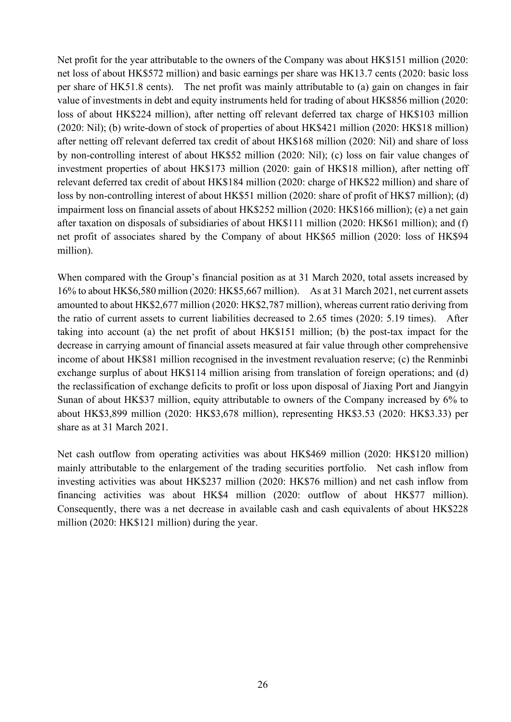Net profit for the year attributable to the owners of the Company was about HK\$151 million (2020: net loss of about HK\$572 million) and basic earnings per share was HK13.7 cents (2020: basic loss per share of HK51.8 cents). The net profit was mainly attributable to (a) gain on changes in fair value of investments in debt and equity instruments held for trading of about HK\$856 million (2020: loss of about HK\$224 million), after netting off relevant deferred tax charge of HK\$103 million (2020: Nil); (b) write-down of stock of properties of about HK\$421 million (2020: HK\$18 million) after netting off relevant deferred tax credit of about HK\$168 million (2020: Nil) and share of loss by non-controlling interest of about HK\$52 million (2020: Nil); (c) loss on fair value changes of investment properties of about HK\$173 million (2020: gain of HK\$18 million), after netting off relevant deferred tax credit of about HK\$184 million (2020: charge of HK\$22 million) and share of loss by non-controlling interest of about HK\$51 million (2020: share of profit of HK\$7 million); (d) impairment loss on financial assets of about HK\$252 million (2020: HK\$166 million); (e) a net gain after taxation on disposals of subsidiaries of about HK\$111 million (2020: HK\$61 million); and (f) net profit of associates shared by the Company of about HK\$65 million (2020: loss of HK\$94 million).

When compared with the Group's financial position as at 31 March 2020, total assets increased by 16% to about HK\$6,580 million (2020: HK\$5,667 million). As at 31 March 2021, net current assets amounted to about HK\$2,677 million (2020: HK\$2,787 million), whereas current ratio deriving from the ratio of current assets to current liabilities decreased to 2.65 times (2020: 5.19 times). After taking into account (a) the net profit of about HK\$151 million; (b) the post-tax impact for the decrease in carrying amount of financial assets measured at fair value through other comprehensive income of about HK\$81 million recognised in the investment revaluation reserve; (c) the Renminbi exchange surplus of about HK\$114 million arising from translation of foreign operations; and (d) the reclassification of exchange deficits to profit or loss upon disposal of Jiaxing Port and Jiangyin Sunan of about HK\$37 million, equity attributable to owners of the Company increased by 6% to about HK\$3,899 million (2020: HK\$3,678 million), representing HK\$3.53 (2020: HK\$3.33) per share as at 31 March 2021.

Net cash outflow from operating activities was about HK\$469 million (2020: HK\$120 million) mainly attributable to the enlargement of the trading securities portfolio. Net cash inflow from investing activities was about HK\$237 million (2020: HK\$76 million) and net cash inflow from financing activities was about HK\$4 million (2020: outflow of about HK\$77 million). Consequently, there was a net decrease in available cash and cash equivalents of about HK\$228 million (2020: HK\$121 million) during the year.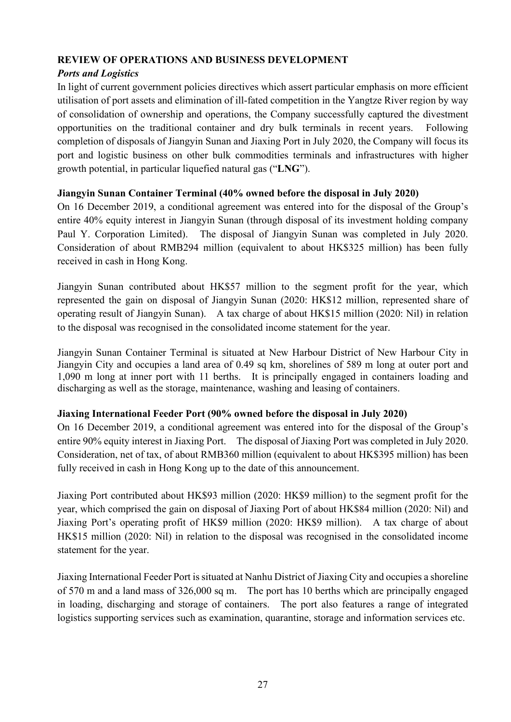## **REVIEW OF OPERATIONS AND BUSINESS DEVELOPMENT**

## *Ports and Logistics*

In light of current government policies directives which assert particular emphasis on more efficient utilisation of port assets and elimination of ill-fated competition in the Yangtze River region by way of consolidation of ownership and operations, the Company successfully captured the divestment opportunities on the traditional container and dry bulk terminals in recent years. Following completion of disposals of Jiangyin Sunan and Jiaxing Port in July 2020, the Company will focus its port and logistic business on other bulk commodities terminals and infrastructures with higher growth potential, in particular liquefied natural gas ("**LNG**").

## **Jiangyin Sunan Container Terminal (40% owned before the disposal in July 2020)**

On 16 December 2019, a conditional agreement was entered into for the disposal of the Group's entire 40% equity interest in Jiangyin Sunan (through disposal of its investment holding company Paul Y. Corporation Limited). The disposal of Jiangyin Sunan was completed in July 2020. Consideration of about RMB294 million (equivalent to about HK\$325 million) has been fully received in cash in Hong Kong.

Jiangyin Sunan contributed about HK\$57 million to the segment profit for the year, which represented the gain on disposal of Jiangyin Sunan (2020: HK\$12 million, represented share of operating result of Jiangyin Sunan). A tax charge of about HK\$15 million (2020: Nil) in relation to the disposal was recognised in the consolidated income statement for the year.

Jiangyin Sunan Container Terminal is situated at New Harbour District of New Harbour City in Jiangyin City and occupies a land area of 0.49 sq km, shorelines of 589 m long at outer port and 1,090 m long at inner port with 11 berths. It is principally engaged in containers loading and discharging as well as the storage, maintenance, washing and leasing of containers.

### **Jiaxing International Feeder Port (90% owned before the disposal in July 2020)**

On 16 December 2019, a conditional agreement was entered into for the disposal of the Group's entire 90% equity interest in Jiaxing Port. The disposal of Jiaxing Port was completed in July 2020. Consideration, net of tax, of about RMB360 million (equivalent to about HK\$395 million) has been fully received in cash in Hong Kong up to the date of this announcement.

Jiaxing Port contributed about HK\$93 million (2020: HK\$9 million) to the segment profit for the year, which comprised the gain on disposal of Jiaxing Port of about HK\$84 million (2020: Nil) and Jiaxing Port's operating profit of HK\$9 million (2020: HK\$9 million). A tax charge of about HK\$15 million (2020: Nil) in relation to the disposal was recognised in the consolidated income statement for the year.

Jiaxing International Feeder Port is situated at Nanhu District of Jiaxing City and occupies a shoreline of 570 m and a land mass of 326,000 sq m. The port has 10 berths which are principally engaged in loading, discharging and storage of containers. The port also features a range of integrated logistics supporting services such as examination, quarantine, storage and information services etc.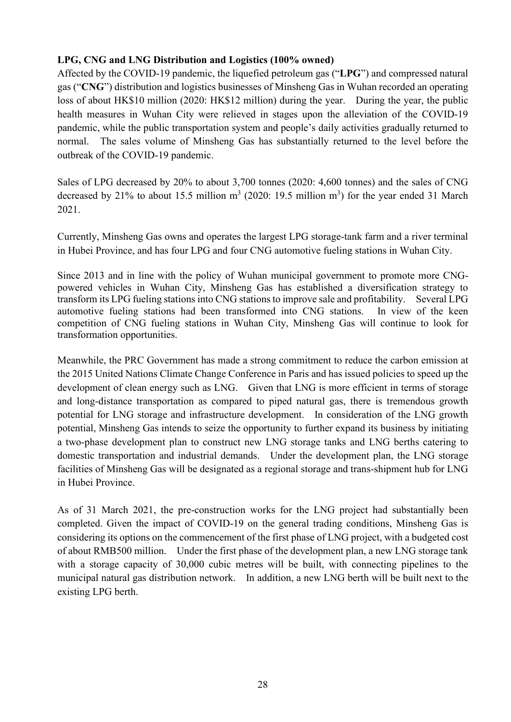## **LPG, CNG and LNG Distribution and Logistics (100% owned)**

Affected by the COVID-19 pandemic, the liquefied petroleum gas ("**LPG**") and compressed natural gas ("**CNG**") distribution and logistics businesses of Minsheng Gas in Wuhan recorded an operating loss of about HK\$10 million (2020: HK\$12 million) during the year. During the year, the public health measures in Wuhan City were relieved in stages upon the alleviation of the COVID-19 pandemic, while the public transportation system and people's daily activities gradually returned to normal. The sales volume of Minsheng Gas has substantially returned to the level before the outbreak of the COVID-19 pandemic.

Sales of LPG decreased by 20% to about 3,700 tonnes (2020: 4,600 tonnes) and the sales of CNG decreased by 21% to about 15.5 million  $m^3$  (2020: 19.5 million  $m^3$ ) for the year ended 31 March 2021.

Currently, Minsheng Gas owns and operates the largest LPG storage-tank farm and a river terminal in Hubei Province, and has four LPG and four CNG automotive fueling stations in Wuhan City.

Since 2013 and in line with the policy of Wuhan municipal government to promote more CNGpowered vehicles in Wuhan City, Minsheng Gas has established a diversification strategy to transform its LPG fueling stations into CNG stations to improve sale and profitability. Several LPG automotive fueling stations had been transformed into CNG stations. In view of the keen competition of CNG fueling stations in Wuhan City, Minsheng Gas will continue to look for transformation opportunities.

Meanwhile, the PRC Government has made a strong commitment to reduce the carbon emission at the 2015 United Nations Climate Change Conference in Paris and has issued policies to speed up the development of clean energy such as LNG. Given that LNG is more efficient in terms of storage and long-distance transportation as compared to piped natural gas, there is tremendous growth potential for LNG storage and infrastructure development. In consideration of the LNG growth potential, Minsheng Gas intends to seize the opportunity to further expand its business by initiating a two-phase development plan to construct new LNG storage tanks and LNG berths catering to domestic transportation and industrial demands. Under the development plan, the LNG storage facilities of Minsheng Gas will be designated as a regional storage and trans-shipment hub for LNG in Hubei Province.

As of 31 March 2021, the pre-construction works for the LNG project had substantially been completed. Given the impact of COVID-19 on the general trading conditions, Minsheng Gas is considering its options on the commencement of the first phase of LNG project, with a budgeted cost of about RMB500 million. Under the first phase of the development plan, a new LNG storage tank with a storage capacity of 30,000 cubic metres will be built, with connecting pipelines to the municipal natural gas distribution network. In addition, a new LNG berth will be built next to the existing LPG berth.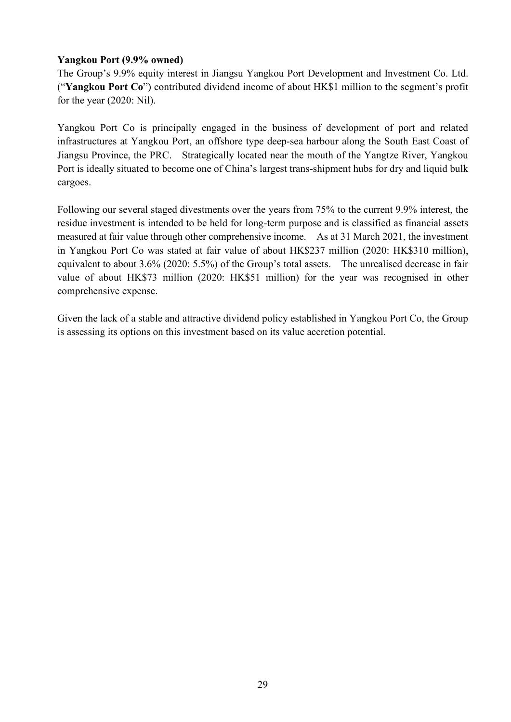## **Yangkou Port (9.9% owned)**

The Group's 9.9% equity interest in Jiangsu Yangkou Port Development and Investment Co. Ltd. ("**Yangkou Port Co**") contributed dividend income of about HK\$1 million to the segment's profit for the year (2020: Nil).

Yangkou Port Co is principally engaged in the business of development of port and related infrastructures at Yangkou Port, an offshore type deep-sea harbour along the South East Coast of Jiangsu Province, the PRC. Strategically located near the mouth of the Yangtze River, Yangkou Port is ideally situated to become one of China's largest trans-shipment hubs for dry and liquid bulk cargoes.

Following our several staged divestments over the years from 75% to the current 9.9% interest, the residue investment is intended to be held for long-term purpose and is classified as financial assets measured at fair value through other comprehensive income. As at 31 March 2021, the investment in Yangkou Port Co was stated at fair value of about HK\$237 million (2020: HK\$310 million), equivalent to about 3.6% (2020: 5.5%) of the Group's total assets. The unrealised decrease in fair value of about HK\$73 million (2020: HK\$51 million) for the year was recognised in other comprehensive expense.

Given the lack of a stable and attractive dividend policy established in Yangkou Port Co, the Group is assessing its options on this investment based on its value accretion potential.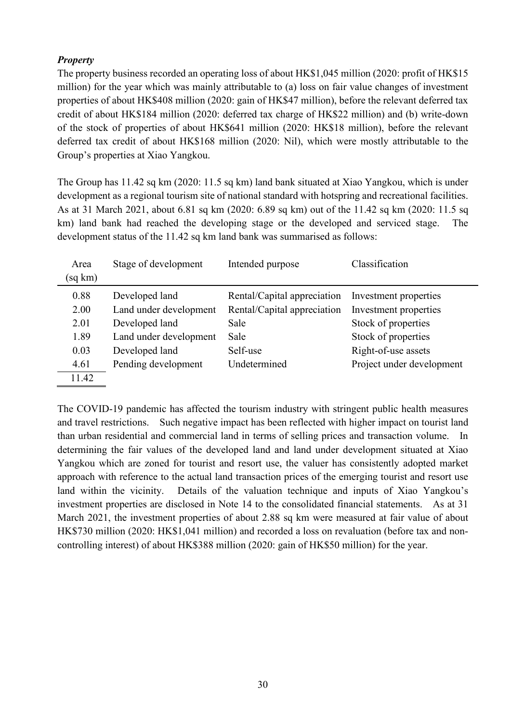## *Property*

The property business recorded an operating loss of about HK\$1,045 million (2020: profit of HK\$15 million) for the year which was mainly attributable to (a) loss on fair value changes of investment properties of about HK\$408 million (2020: gain of HK\$47 million), before the relevant deferred tax credit of about HK\$184 million (2020: deferred tax charge of HK\$22 million) and (b) write-down of the stock of properties of about HK\$641 million (2020: HK\$18 million), before the relevant deferred tax credit of about HK\$168 million (2020: Nil), which were mostly attributable to the Group's properties at Xiao Yangkou.

The Group has 11.42 sq km (2020: 11.5 sq km) land bank situated at Xiao Yangkou, which is under development as a regional tourism site of national standard with hotspring and recreational facilities. As at 31 March 2021, about 6.81 sq km (2020: 6.89 sq km) out of the 11.42 sq km (2020: 11.5 sq km) land bank had reached the developing stage or the developed and serviced stage. The development status of the 11.42 sq km land bank was summarised as follows:

| Area    | Stage of development   | Intended purpose            | Classification            |
|---------|------------------------|-----------------------------|---------------------------|
| (sq km) |                        |                             |                           |
| 0.88    | Developed land         | Rental/Capital appreciation | Investment properties     |
| 2.00    | Land under development | Rental/Capital appreciation | Investment properties     |
| 2.01    | Developed land         | Sale                        | Stock of properties       |
| 1.89    | Land under development | Sale                        | Stock of properties       |
| 0.03    | Developed land         | Self-use                    | Right-of-use assets       |
| 4.61    | Pending development    | Undetermined                | Project under development |
| 11.42   |                        |                             |                           |

The COVID-19 pandemic has affected the tourism industry with stringent public health measures and travel restrictions. Such negative impact has been reflected with higher impact on tourist land than urban residential and commercial land in terms of selling prices and transaction volume. In determining the fair values of the developed land and land under development situated at Xiao Yangkou which are zoned for tourist and resort use, the valuer has consistently adopted market approach with reference to the actual land transaction prices of the emerging tourist and resort use land within the vicinity. Details of the valuation technique and inputs of Xiao Yangkou's investment properties are disclosed in Note 14 to the consolidated financial statements. As at 31 March 2021, the investment properties of about 2.88 sq km were measured at fair value of about HK\$730 million (2020: HK\$1,041 million) and recorded a loss on revaluation (before tax and noncontrolling interest) of about HK\$388 million (2020: gain of HK\$50 million) for the year.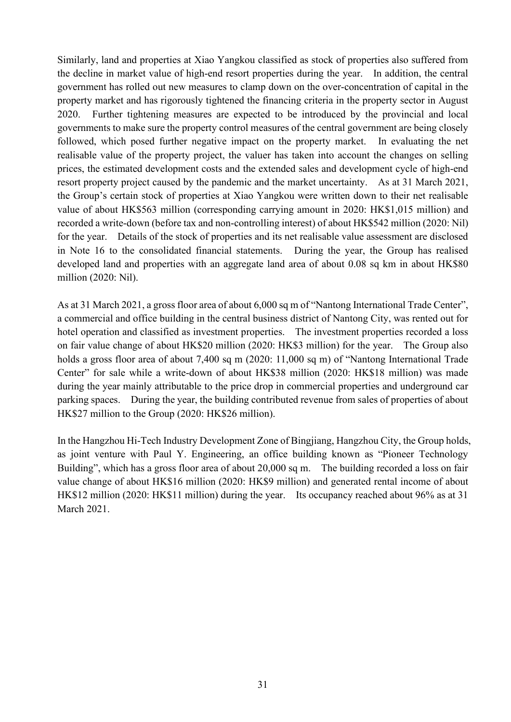Similarly, land and properties at Xiao Yangkou classified as stock of properties also suffered from the decline in market value of high-end resort properties during the year. In addition, the central government has rolled out new measures to clamp down on the over-concentration of capital in the property market and has rigorously tightened the financing criteria in the property sector in August 2020. Further tightening measures are expected to be introduced by the provincial and local governments to make sure the property control measures of the central government are being closely followed, which posed further negative impact on the property market. In evaluating the net realisable value of the property project, the valuer has taken into account the changes on selling prices, the estimated development costs and the extended sales and development cycle of high-end resort property project caused by the pandemic and the market uncertainty. As at 31 March 2021, the Group's certain stock of properties at Xiao Yangkou were written down to their net realisable value of about HK\$563 million (corresponding carrying amount in 2020: HK\$1,015 million) and recorded a write-down (before tax and non-controlling interest) of about HK\$542 million (2020: Nil) for the year. Details of the stock of properties and its net realisable value assessment are disclosed in Note 16 to the consolidated financial statements. During the year, the Group has realised developed land and properties with an aggregate land area of about 0.08 sq km in about HK\$80 million (2020: Nil).

As at 31 March 2021, a gross floor area of about 6,000 sq m of "Nantong International Trade Center", a commercial and office building in the central business district of Nantong City, was rented out for hotel operation and classified as investment properties. The investment properties recorded a loss on fair value change of about HK\$20 million (2020: HK\$3 million) for the year. The Group also holds a gross floor area of about 7,400 sq m (2020: 11,000 sq m) of "Nantong International Trade Center" for sale while a write-down of about HK\$38 million (2020: HK\$18 million) was made during the year mainly attributable to the price drop in commercial properties and underground car parking spaces. During the year, the building contributed revenue from sales of properties of about HK\$27 million to the Group (2020: HK\$26 million).

In the Hangzhou Hi-Tech Industry Development Zone of Bingjiang, Hangzhou City, the Group holds, as joint venture with Paul Y. Engineering, an office building known as "Pioneer Technology Building", which has a gross floor area of about 20,000 sq m. The building recorded a loss on fair value change of about HK\$16 million (2020: HK\$9 million) and generated rental income of about HK\$12 million (2020: HK\$11 million) during the year. Its occupancy reached about 96% as at 31 March 2021.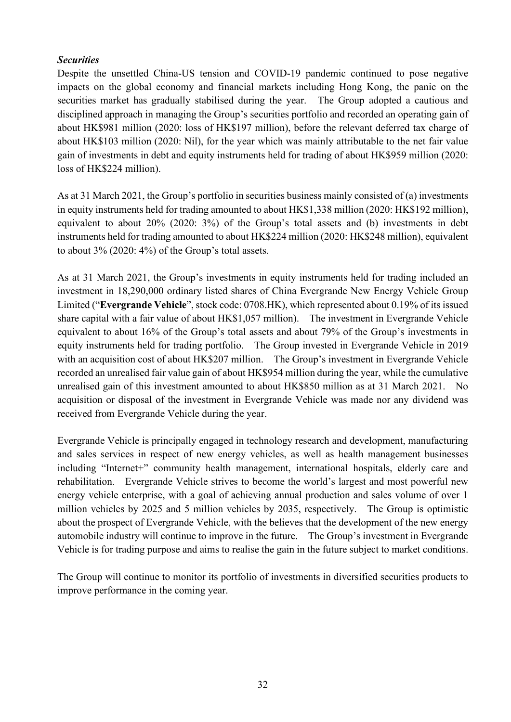## *Securities*

Despite the unsettled China-US tension and COVID-19 pandemic continued to pose negative impacts on the global economy and financial markets including Hong Kong, the panic on the securities market has gradually stabilised during the year. The Group adopted a cautious and disciplined approach in managing the Group's securities portfolio and recorded an operating gain of about HK\$981 million (2020: loss of HK\$197 million), before the relevant deferred tax charge of about HK\$103 million (2020: Nil), for the year which was mainly attributable to the net fair value gain of investments in debt and equity instruments held for trading of about HK\$959 million (2020: loss of HK\$224 million).

As at 31 March 2021, the Group's portfolio in securities business mainly consisted of (a) investments in equity instruments held for trading amounted to about HK\$1,338 million (2020: HK\$192 million), equivalent to about 20% (2020: 3%) of the Group's total assets and (b) investments in debt instruments held for trading amounted to about HK\$224 million (2020: HK\$248 million), equivalent to about 3% (2020: 4%) of the Group's total assets.

As at 31 March 2021, the Group's investments in equity instruments held for trading included an investment in 18,290,000 ordinary listed shares of China Evergrande New Energy Vehicle Group Limited ("**Evergrande Vehicle**", stock code: 0708.HK), which represented about 0.19% of its issued share capital with a fair value of about HK\$1,057 million). The investment in Evergrande Vehicle equivalent to about 16% of the Group's total assets and about 79% of the Group's investments in equity instruments held for trading portfolio. The Group invested in Evergrande Vehicle in 2019 with an acquisition cost of about HK\$207 million. The Group's investment in Evergrande Vehicle recorded an unrealised fair value gain of about HK\$954 million during the year, while the cumulative unrealised gain of this investment amounted to about HK\$850 million as at 31 March 2021. No acquisition or disposal of the investment in Evergrande Vehicle was made nor any dividend was received from Evergrande Vehicle during the year.

Evergrande Vehicle is principally engaged in technology research and development, manufacturing and sales services in respect of new energy vehicles, as well as health management businesses including "Internet+" community health management, international hospitals, elderly care and rehabilitation. Evergrande Vehicle strives to become the world's largest and most powerful new energy vehicle enterprise, with a goal of achieving annual production and sales volume of over 1 million vehicles by 2025 and 5 million vehicles by 2035, respectively. The Group is optimistic about the prospect of Evergrande Vehicle, with the believes that the development of the new energy automobile industry will continue to improve in the future. The Group's investment in Evergrande Vehicle is for trading purpose and aims to realise the gain in the future subject to market conditions.

The Group will continue to monitor its portfolio of investments in diversified securities products to improve performance in the coming year.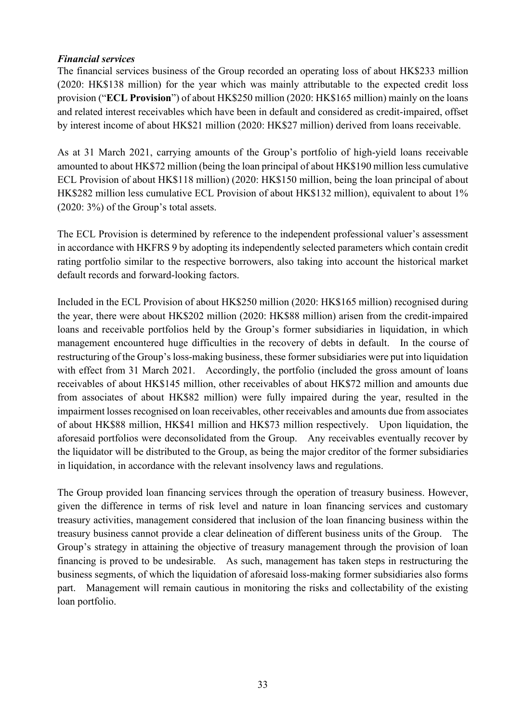### *Financial services*

The financial services business of the Group recorded an operating loss of about HK\$233 million (2020: HK\$138 million) for the year which was mainly attributable to the expected credit loss provision ("**ECL Provision**") of about HK\$250 million (2020: HK\$165 million) mainly on the loans and related interest receivables which have been in default and considered as credit-impaired, offset by interest income of about HK\$21 million (2020: HK\$27 million) derived from loans receivable.

As at 31 March 2021, carrying amounts of the Group's portfolio of high-yield loans receivable amounted to about HK\$72 million (being the loan principal of about HK\$190 million less cumulative ECL Provision of about HK\$118 million) (2020: HK\$150 million, being the loan principal of about HK\$282 million less cumulative ECL Provision of about HK\$132 million), equivalent to about 1% (2020: 3%) of the Group's total assets.

The ECL Provision is determined by reference to the independent professional valuer's assessment in accordance with HKFRS 9 by adopting its independently selected parameters which contain credit rating portfolio similar to the respective borrowers, also taking into account the historical market default records and forward-looking factors.

Included in the ECL Provision of about HK\$250 million (2020: HK\$165 million) recognised during the year, there were about HK\$202 million (2020: HK\$88 million) arisen from the credit-impaired loans and receivable portfolios held by the Group's former subsidiaries in liquidation, in which management encountered huge difficulties in the recovery of debts in default. In the course of restructuring of the Group's loss-making business, these former subsidiaries were put into liquidation with effect from 31 March 2021. Accordingly, the portfolio (included the gross amount of loans receivables of about HK\$145 million, other receivables of about HK\$72 million and amounts due from associates of about HK\$82 million) were fully impaired during the year, resulted in the impairment losses recognised on loan receivables, other receivables and amounts due from associates of about HK\$88 million, HK\$41 million and HK\$73 million respectively. Upon liquidation, the aforesaid portfolios were deconsolidated from the Group. Any receivables eventually recover by the liquidator will be distributed to the Group, as being the major creditor of the former subsidiaries in liquidation, in accordance with the relevant insolvency laws and regulations.

The Group provided loan financing services through the operation of treasury business. However, given the difference in terms of risk level and nature in loan financing services and customary treasury activities, management considered that inclusion of the loan financing business within the treasury business cannot provide a clear delineation of different business units of the Group. The Group's strategy in attaining the objective of treasury management through the provision of loan financing is proved to be undesirable. As such, management has taken steps in restructuring the business segments, of which the liquidation of aforesaid loss-making former subsidiaries also forms part. Management will remain cautious in monitoring the risks and collectability of the existing loan portfolio.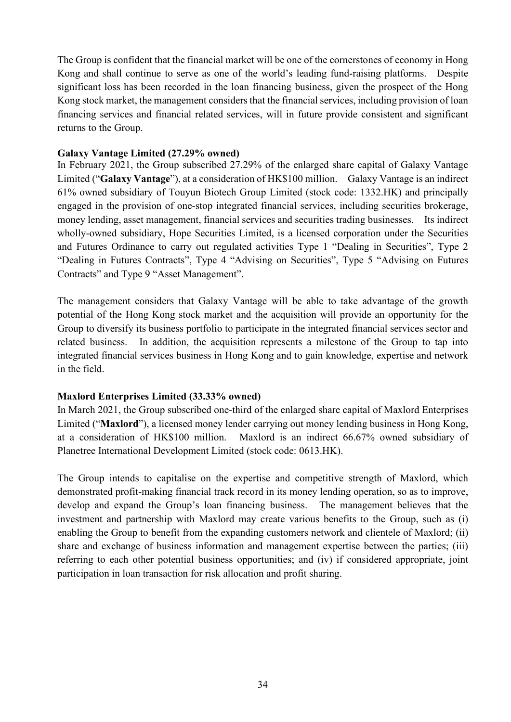The Group is confident that the financial market will be one of the cornerstones of economy in Hong Kong and shall continue to serve as one of the world's leading fund-raising platforms. Despite significant loss has been recorded in the loan financing business, given the prospect of the Hong Kong stock market, the management considers that the financial services, including provision of loan financing services and financial related services, will in future provide consistent and significant returns to the Group.

### **Galaxy Vantage Limited (27.29% owned)**

In February 2021, the Group subscribed 27.29% of the enlarged share capital of Galaxy Vantage Limited ("**Galaxy Vantage**"), at a consideration of HK\$100 million. Galaxy Vantage is an indirect 61% owned subsidiary of Touyun Biotech Group Limited (stock code: 1332.HK) and principally engaged in the provision of one-stop integrated financial services, including securities brokerage, money lending, asset management, financial services and securities trading businesses. Its indirect wholly-owned subsidiary, Hope Securities Limited, is a licensed corporation under the Securities and Futures Ordinance to carry out regulated activities Type 1 "Dealing in Securities", Type 2 "Dealing in Futures Contracts", Type 4 "Advising on Securities", Type 5 "Advising on Futures Contracts" and Type 9 "Asset Management".

The management considers that Galaxy Vantage will be able to take advantage of the growth potential of the Hong Kong stock market and the acquisition will provide an opportunity for the Group to diversify its business portfolio to participate in the integrated financial services sector and related business. In addition, the acquisition represents a milestone of the Group to tap into integrated financial services business in Hong Kong and to gain knowledge, expertise and network in the field.

### **Maxlord Enterprises Limited (33.33% owned)**

In March 2021, the Group subscribed one-third of the enlarged share capital of Maxlord Enterprises Limited ("**Maxlord**"), a licensed money lender carrying out money lending business in Hong Kong, at a consideration of HK\$100 million. Maxlord is an indirect 66.67% owned subsidiary of Planetree International Development Limited (stock code: 0613.HK).

The Group intends to capitalise on the expertise and competitive strength of Maxlord, which demonstrated profit-making financial track record in its money lending operation, so as to improve, develop and expand the Group's loan financing business. The management believes that the investment and partnership with Maxlord may create various benefits to the Group, such as (i) enabling the Group to benefit from the expanding customers network and clientele of Maxlord; (ii) share and exchange of business information and management expertise between the parties; (iii) referring to each other potential business opportunities; and (iv) if considered appropriate, joint participation in loan transaction for risk allocation and profit sharing.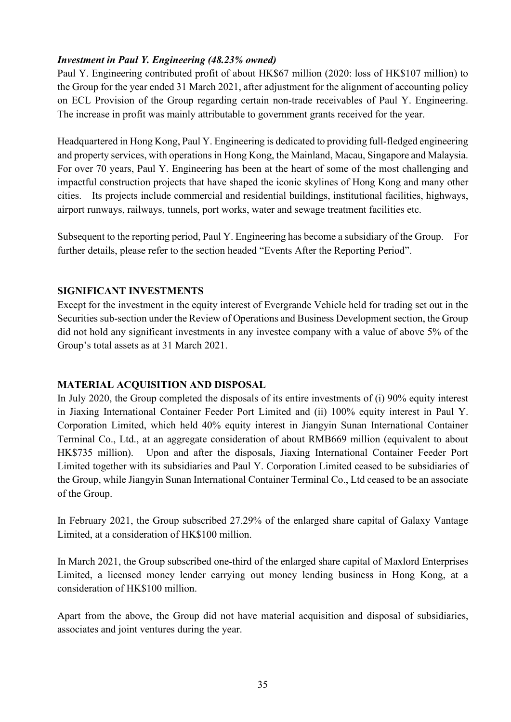## *Investment in Paul Y. Engineering (48.23% owned)*

Paul Y. Engineering contributed profit of about HK\$67 million (2020: loss of HK\$107 million) to the Group for the year ended 31 March 2021, after adjustment for the alignment of accounting policy on ECL Provision of the Group regarding certain non-trade receivables of Paul Y. Engineering. The increase in profit was mainly attributable to government grants received for the year.

Headquartered in Hong Kong, Paul Y. Engineering is dedicated to providing full-fledged engineering and property services, with operations in Hong Kong, the Mainland, Macau, Singapore and Malaysia. For over 70 years, Paul Y. Engineering has been at the heart of some of the most challenging and impactful construction projects that have shaped the iconic skylines of Hong Kong and many other cities. Its projects include commercial and residential buildings, institutional facilities, highways, airport runways, railways, tunnels, port works, water and sewage treatment facilities etc.

Subsequent to the reporting period, Paul Y. Engineering has become a subsidiary of the Group. For further details, please refer to the section headed "Events After the Reporting Period".

### **SIGNIFICANT INVESTMENTS**

Except for the investment in the equity interest of Evergrande Vehicle held for trading set out in the Securities sub-section under the Review of Operations and Business Development section, the Group did not hold any significant investments in any investee company with a value of above 5% of the Group's total assets as at 31 March 2021.

### **MATERIAL ACQUISITION AND DISPOSAL**

In July 2020, the Group completed the disposals of its entire investments of (i) 90% equity interest in Jiaxing International Container Feeder Port Limited and (ii) 100% equity interest in Paul Y. Corporation Limited, which held 40% equity interest in Jiangyin Sunan International Container Terminal Co., Ltd., at an aggregate consideration of about RMB669 million (equivalent to about HK\$735 million). Upon and after the disposals, Jiaxing International Container Feeder Port Limited together with its subsidiaries and Paul Y. Corporation Limited ceased to be subsidiaries of the Group, while Jiangyin Sunan International Container Terminal Co., Ltd ceased to be an associate of the Group.

In February 2021, the Group subscribed 27.29% of the enlarged share capital of Galaxy Vantage Limited, at a consideration of HK\$100 million.

In March 2021, the Group subscribed one-third of the enlarged share capital of Maxlord Enterprises Limited, a licensed money lender carrying out money lending business in Hong Kong, at a consideration of HK\$100 million.

Apart from the above, the Group did not have material acquisition and disposal of subsidiaries, associates and joint ventures during the year.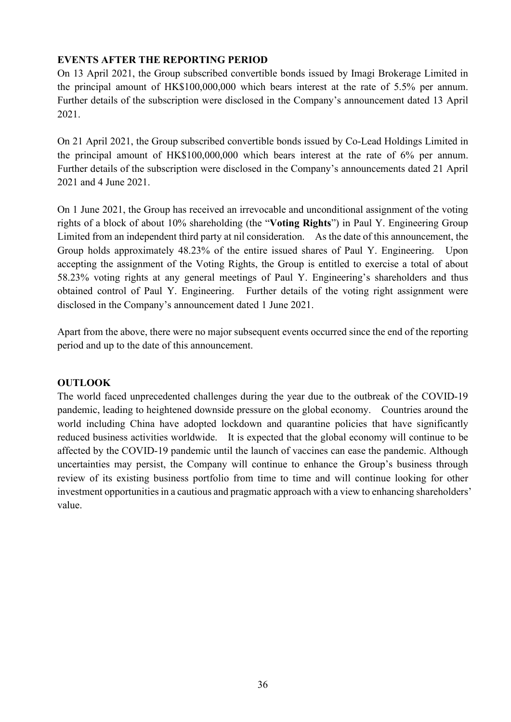## **EVENTS AFTER THE REPORTING PERIOD**

On 13 April 2021, the Group subscribed convertible bonds issued by Imagi Brokerage Limited in the principal amount of HK\$100,000,000 which bears interest at the rate of 5.5% per annum. Further details of the subscription were disclosed in the Company's announcement dated 13 April 2021.

On 21 April 2021, the Group subscribed convertible bonds issued by Co-Lead Holdings Limited in the principal amount of HK\$100,000,000 which bears interest at the rate of 6% per annum. Further details of the subscription were disclosed in the Company's announcements dated 21 April 2021 and 4 June 2021.

On 1 June 2021, the Group has received an irrevocable and unconditional assignment of the voting rights of a block of about 10% shareholding (the "**Voting Rights**") in Paul Y. Engineering Group Limited from an independent third party at nil consideration. As the date of this announcement, the Group holds approximately 48.23% of the entire issued shares of Paul Y. Engineering. Upon accepting the assignment of the Voting Rights, the Group is entitled to exercise a total of about 58.23% voting rights at any general meetings of Paul Y. Engineering's shareholders and thus obtained control of Paul Y. Engineering. Further details of the voting right assignment were disclosed in the Company's announcement dated 1 June 2021.

Apart from the above, there were no major subsequent events occurred since the end of the reporting period and up to the date of this announcement.

### **OUTLOOK**

The world faced unprecedented challenges during the year due to the outbreak of the COVID-19 pandemic, leading to heightened downside pressure on the global economy. Countries around the world including China have adopted lockdown and quarantine policies that have significantly reduced business activities worldwide. It is expected that the global economy will continue to be affected by the COVID-19 pandemic until the launch of vaccines can ease the pandemic. Although uncertainties may persist, the Company will continue to enhance the Group's business through review of its existing business portfolio from time to time and will continue looking for other investment opportunities in a cautious and pragmatic approach with a view to enhancing shareholders' value.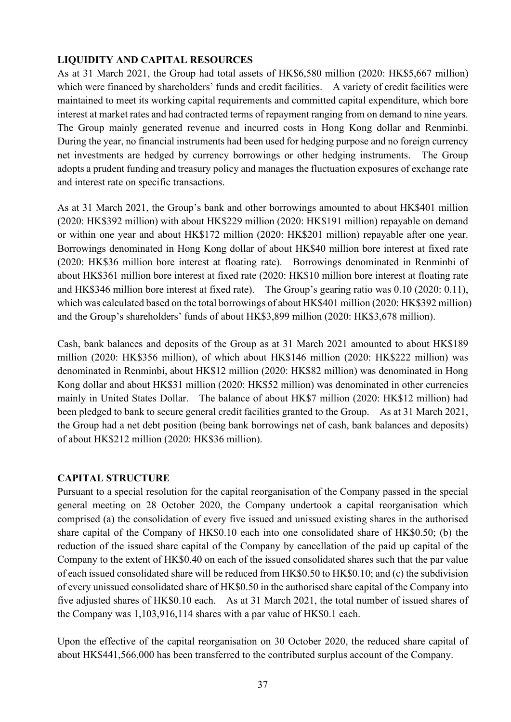## **LIQUIDITY AND CAPITAL RESOURCES**

As at 31 March 2021, the Group had total assets of HK\$6,580 million (2020: HK\$5,667 million) which were financed by shareholders' funds and credit facilities. A variety of credit facilities were maintained to meet its working capital requirements and committed capital expenditure, which bore interest at market rates and had contracted terms of repayment ranging from on demand to nine years. The Group mainly generated revenue and incurred costs in Hong Kong dollar and Renminbi. During the year, no financial instruments had been used for hedging purpose and no foreign currency net investments are hedged by currency borrowings or other hedging instruments. The Group adopts a prudent funding and treasury policy and manages the fluctuation exposures of exchange rate and interest rate on specific transactions.

As at 31 March 2021, the Group's bank and other borrowings amounted to about HK\$401 million (2020: HK\$392 million) with about HK\$229 million (2020: HK\$191 million) repayable on demand or within one year and about HK\$172 million (2020: HK\$201 million) repayable after one year. Borrowings denominated in Hong Kong dollar of about HK\$40 million bore interest at fixed rate (2020: HK\$36 million bore interest at floating rate). Borrowings denominated in Renminbi of about HK\$361 million bore interest at fixed rate (2020: HK\$10 million bore interest at floating rate and HK\$346 million bore interest at fixed rate). The Group's gearing ratio was 0.10 (2020: 0.11), which was calculated based on the total borrowings of about HK\$401 million (2020: HK\$392 million) and the Group's shareholders' funds of about HK\$3,899 million (2020: HK\$3,678 million).

Cash, bank balances and deposits of the Group as at 31 March 2021 amounted to about HK\$189 million (2020: HK\$356 million), of which about HK\$146 million (2020: HK\$222 million) was denominated in Renminbi, about HK\$12 million (2020: HK\$82 million) was denominated in Hong Kong dollar and about HK\$31 million (2020: HK\$52 million) was denominated in other currencies mainly in United States Dollar. The balance of about HK\$7 million (2020: HK\$12 million) had been pledged to bank to secure general credit facilities granted to the Group. As at 31 March 2021, the Group had a net debt position (being bank borrowings net of cash, bank balances and deposits) of about HK\$212 million (2020: HK\$36 million).

### **CAPITAL STRUCTURE**

Pursuant to a special resolution for the capital reorganisation of the Company passed in the special general meeting on 28 October 2020, the Company undertook a capital reorganisation which comprised (a) the consolidation of every five issued and unissued existing shares in the authorised share capital of the Company of HK\$0.10 each into one consolidated share of HK\$0.50; (b) the reduction of the issued share capital of the Company by cancellation of the paid up capital of the Company to the extent of HK\$0.40 on each of the issued consolidated shares such that the par value of each issued consolidated share will be reduced from HK\$0.50 to HK\$0.10; and (c) the subdivision of every unissued consolidated share of HK\$0.50 in the authorised share capital of the Company into five adjusted shares of HK\$0.10 each. As at 31 March 2021, the total number of issued shares of the Company was 1,103,916,114 shares with a par value of HK\$0.1 each.

Upon the effective of the capital reorganisation on 30 October 2020, the reduced share capital of about HK\$441,566,000 has been transferred to the contributed surplus account of the Company.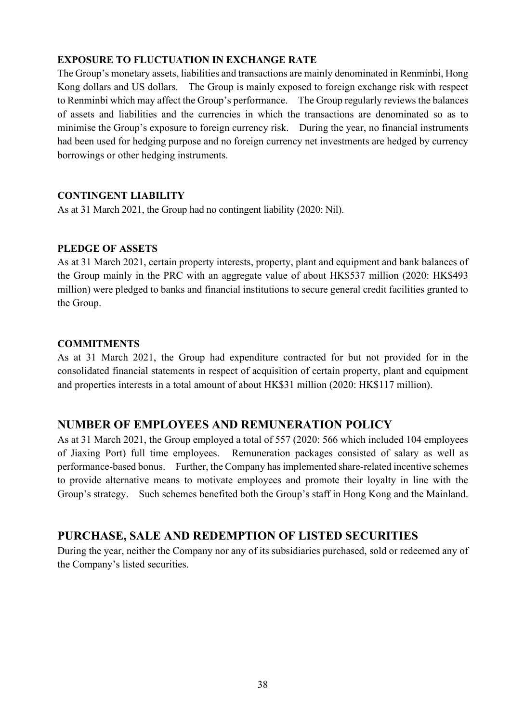## **EXPOSURE TO FLUCTUATION IN EXCHANGE RATE**

The Group's monetary assets, liabilities and transactions are mainly denominated in Renminbi, Hong Kong dollars and US dollars. The Group is mainly exposed to foreign exchange risk with respect to Renminbi which may affect the Group's performance. The Group regularly reviews the balances of assets and liabilities and the currencies in which the transactions are denominated so as to minimise the Group's exposure to foreign currency risk. During the year, no financial instruments had been used for hedging purpose and no foreign currency net investments are hedged by currency borrowings or other hedging instruments.

### **CONTINGENT LIABILITY**

As at 31 March 2021, the Group had no contingent liability (2020: Nil).

### **PLEDGE OF ASSETS**

As at 31 March 2021, certain property interests, property, plant and equipment and bank balances of the Group mainly in the PRC with an aggregate value of about HK\$537 million (2020: HK\$493 million) were pledged to banks and financial institutions to secure general credit facilities granted to the Group.

### **COMMITMENTS**

As at 31 March 2021, the Group had expenditure contracted for but not provided for in the consolidated financial statements in respect of acquisition of certain property, plant and equipment and properties interests in a total amount of about HK\$31 million (2020: HK\$117 million).

## **NUMBER OF EMPLOYEES AND REMUNERATION POLICY**

As at 31 March 2021, the Group employed a total of 557 (2020: 566 which included 104 employees of Jiaxing Port) full time employees. Remuneration packages consisted of salary as well as performance-based bonus. Further, the Company has implemented share-related incentive schemes to provide alternative means to motivate employees and promote their loyalty in line with the Group's strategy. Such schemes benefited both the Group's staff in Hong Kong and the Mainland.

## **PURCHASE, SALE AND REDEMPTION OF LISTED SECURITIES**

During the year, neither the Company nor any of its subsidiaries purchased, sold or redeemed any of the Company's listed securities.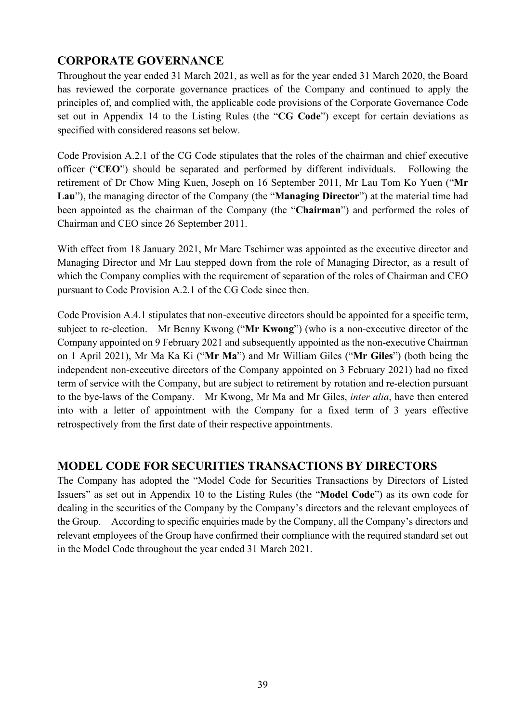## **CORPORATE GOVERNANCE**

Throughout the year ended 31 March 2021, as well as for the year ended 31 March 2020, the Board has reviewed the corporate governance practices of the Company and continued to apply the principles of, and complied with, the applicable code provisions of the Corporate Governance Code set out in Appendix 14 to the Listing Rules (the "**CG Code**") except for certain deviations as specified with considered reasons set below.

Code Provision A.2.1 of the CG Code stipulates that the roles of the chairman and chief executive officer ("**CEO**") should be separated and performed by different individuals. Following the retirement of Dr Chow Ming Kuen, Joseph on 16 September 2011, Mr Lau Tom Ko Yuen ("**Mr Lau**"), the managing director of the Company (the "**Managing Director**") at the material time had been appointed as the chairman of the Company (the "**Chairman**") and performed the roles of Chairman and CEO since 26 September 2011.

With effect from 18 January 2021, Mr Marc Tschirner was appointed as the executive director and Managing Director and Mr Lau stepped down from the role of Managing Director, as a result of which the Company complies with the requirement of separation of the roles of Chairman and CEO pursuant to Code Provision A.2.1 of the CG Code since then.

Code Provision A.4.1 stipulates that non-executive directors should be appointed for a specific term, subject to re-election. Mr Benny Kwong ("**Mr Kwong**") (who is a non-executive director of the Company appointed on 9 February 2021 and subsequently appointed as the non-executive Chairman on 1 April 2021), Mr Ma Ka Ki ("**Mr Ma**") and Mr William Giles ("**Mr Giles**") (both being the independent non-executive directors of the Company appointed on 3 February 2021) had no fixed term of service with the Company, but are subject to retirement by rotation and re-election pursuant to the bye-laws of the Company. Mr Kwong, Mr Ma and Mr Giles, *inter alia*, have then entered into with a letter of appointment with the Company for a fixed term of 3 years effective retrospectively from the first date of their respective appointments.

## **MODEL CODE FOR SECURITIES TRANSACTIONS BY DIRECTORS**

The Company has adopted the "Model Code for Securities Transactions by Directors of Listed Issuers" as set out in Appendix 10 to the Listing Rules (the "**Model Code**") as its own code for dealing in the securities of the Company by the Company's directors and the relevant employees of the Group. According to specific enquiries made by the Company, all the Company's directors and relevant employees of the Group have confirmed their compliance with the required standard set out in the Model Code throughout the year ended 31 March 2021.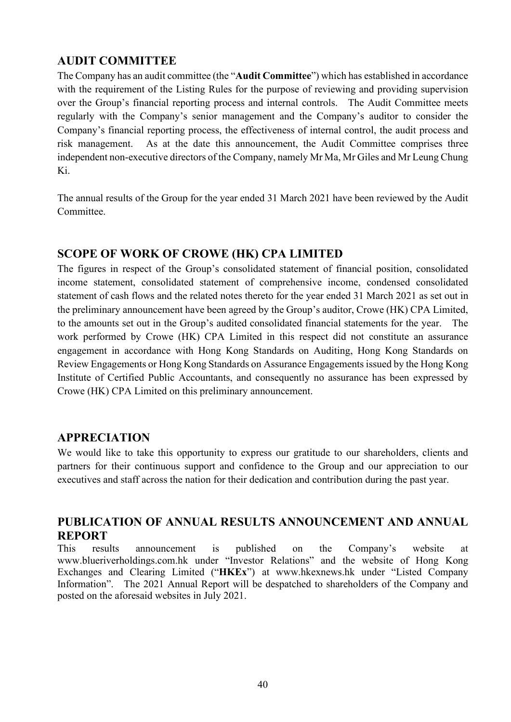## **AUDIT COMMITTEE**

The Company has an audit committee (the "**Audit Committee**") which has established in accordance with the requirement of the Listing Rules for the purpose of reviewing and providing supervision over the Group's financial reporting process and internal controls. The Audit Committee meets regularly with the Company's senior management and the Company's auditor to consider the Company's financial reporting process, the effectiveness of internal control, the audit process and risk management. As at the date this announcement, the Audit Committee comprises three independent non-executive directors of the Company, namely Mr Ma, Mr Giles and Mr Leung Chung Ki.

The annual results of the Group for the year ended 31 March 2021 have been reviewed by the Audit Committee.

## **SCOPE OF WORK OF CROWE (HK) CPA LIMITED**

The figures in respect of the Group's consolidated statement of financial position, consolidated income statement, consolidated statement of comprehensive income, condensed consolidated statement of cash flows and the related notes thereto for the year ended 31 March 2021 as set out in the preliminary announcement have been agreed by the Group's auditor, Crowe (HK) CPA Limited, to the amounts set out in the Group's audited consolidated financial statements for the year. The work performed by Crowe (HK) CPA Limited in this respect did not constitute an assurance engagement in accordance with Hong Kong Standards on Auditing, Hong Kong Standards on Review Engagements or Hong Kong Standards on Assurance Engagements issued by the Hong Kong Institute of Certified Public Accountants, and consequently no assurance has been expressed by Crowe (HK) CPA Limited on this preliminary announcement.

## **APPRECIATION**

We would like to take this opportunity to express our gratitude to our shareholders, clients and partners for their continuous support and confidence to the Group and our appreciation to our executives and staff across the nation for their dedication and contribution during the past year.

## **PUBLICATION OF ANNUAL RESULTS ANNOUNCEMENT AND ANNUAL REPORT**

This results announcement is published on the Company's website at www.blueriverholdings.com.hk under "Investor Relations" and the website of Hong Kong Exchanges and Clearing Limited ("**HKEx**") at www.hkexnews.hk under "Listed Company Information". The 2021 Annual Report will be despatched to shareholders of the Company and posted on the aforesaid websites in July 2021.